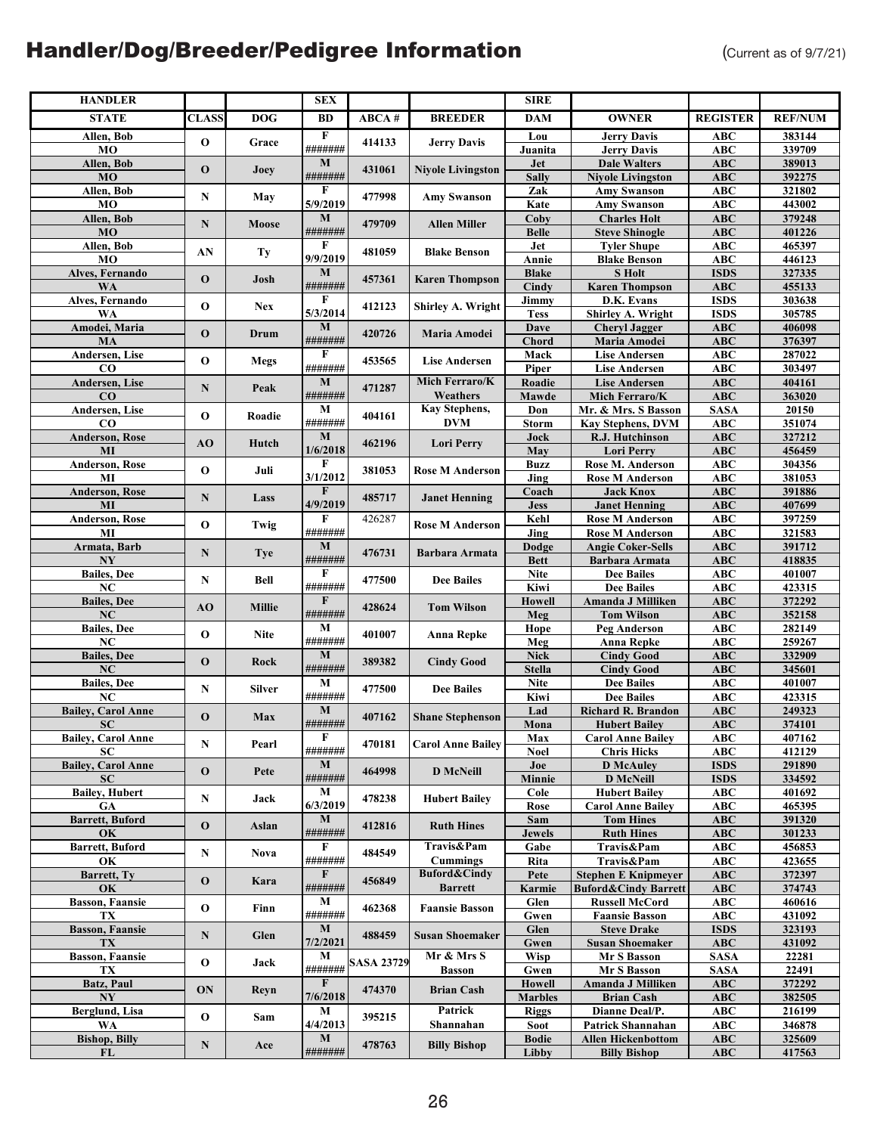| <b>HANDLER</b>                                |              |               | <b>SEX</b>              |                   |                          | <b>SIRE</b>                  |                                                |                          |                  |
|-----------------------------------------------|--------------|---------------|-------------------------|-------------------|--------------------------|------------------------------|------------------------------------------------|--------------------------|------------------|
| <b>STATE</b>                                  | <b>CLASS</b> | <b>DOG</b>    | BD                      | ABCA#             | <b>BREEDER</b>           | <b>DAM</b>                   | <b>OWNER</b>                                   | <b>REGISTER</b>          | <b>REF/NUM</b>   |
| Allen, Bob                                    |              |               | $\overline{F}$          |                   |                          | Lou                          | <b>Jerry Davis</b>                             | <b>ABC</b>               | 383144           |
| MO                                            | $\mathbf 0$  | Grace         | #######                 | 414133            | <b>Jerry Davis</b>       | Juanita                      | <b>Jerry Davis</b>                             | <b>ABC</b>               | 339709           |
| Allen, Bob                                    | O            | Joey          | M                       | 431061            | <b>Niyole Livingston</b> | <b>Jet</b>                   | <b>Dale Walters</b>                            | <b>ABC</b>               | 389013           |
| <b>MO</b><br>Allen, Bob                       |              |               | #######<br>F            |                   |                          | <b>Sally</b><br>Zak          | <b>Niyole Livingston</b><br><b>Amy Swanson</b> | ABC<br>ABC               | 392275<br>321802 |
| MO                                            | $\mathbf N$  | May           | 5/9/2019                | 477998            | <b>Amy Swanson</b>       | Kate                         | <b>Amy Swanson</b>                             | ABC                      | 443002           |
| Allen, Bob                                    | ${\bf N}$    | Moose         | $\mathbf M$             | 479709            | <b>Allen Miller</b>      | Coby                         | <b>Charles Holt</b>                            | ABC                      | 379248           |
| <b>MO</b>                                     |              |               | #######                 |                   |                          | <b>Belle</b>                 | <b>Steve Shinogle</b>                          | <b>ABC</b>               | 401226           |
| Allen, Bob                                    | AN           | Ty            | F                       | 481059            | <b>Blake Benson</b>      | Jet                          | <b>Tyler Shupe</b>                             | ABC                      | 465397           |
| MO<br>Alves, Fernando                         |              |               | 9/9/2019<br>$\mathbf M$ |                   |                          | Annie<br><b>Blake</b>        | <b>Blake Benson</b><br><b>S</b> Holt           | ABC<br><b>ISDS</b>       | 446123<br>327335 |
| WA                                            | $\mathbf 0$  | Josh          | #######                 | 457361            | <b>Karen Thompson</b>    | Cindy                        | <b>Karen Thompson</b>                          | ABC                      | 455133           |
| Alves, Fernando                               | $\mathbf 0$  | <b>Nex</b>    | F                       | 412123            | Shirley A. Wright        | Jimmy                        | D.K. Evans                                     | <b>ISDS</b>              | 303638           |
| WA                                            |              |               | 5/3/2014                |                   |                          | <b>Tess</b>                  | Shirley A. Wright                              | <b>ISDS</b>              | 305785           |
| Amodei, Maria                                 | $\mathbf 0$  | Drum          | $\bf M$                 | 420726            | Maria Amodei             | Dave                         | <b>Cheryl Jagger</b>                           | <b>ABC</b>               | 406098           |
| MA<br><b>Andersen</b> , Lise                  |              |               | #######<br>F            |                   |                          | <b>Chord</b><br>Mack         | Maria Amodei<br><b>Lise Andersen</b>           | ABC<br>ABC               | 376397<br>287022 |
| $_{\rm CO}$                                   | $\mathbf 0$  | <b>Megs</b>   | #######                 | 453565            | <b>Lise Andersen</b>     | Piper                        | <b>Lise Andersen</b>                           | <b>ABC</b>               | 303497           |
| Andersen, Lise                                | N            | Peak          | $\bf{M}$                | 471287            | Mich Ferraro/K           | Roadie                       | <b>Lise Andersen</b>                           | <b>ABC</b>               | 404161           |
| CO                                            |              |               | #######                 |                   | Weathers                 | Mawde                        | Mich Ferraro/K                                 | <b>ABC</b>               | 363020           |
| Andersen, Lise                                | $\mathbf 0$  | Roadie        | $\mathbf M$             | 404161            | Kay Stephens,            | Don                          | Mr. & Mrs. S Basson                            | <b>SASA</b>              | 20150            |
| $\bf{CO}$<br>Anderson, Rose                   |              |               | #######<br>$\mathbf M$  |                   | <b>DVM</b>               | <b>Storm</b><br>Jock         | <b>Kay Stephens, DVM</b><br>R.J. Hutchinson    | ABC<br>ABC               | 351074<br>327212 |
| MI                                            | AO           | Hutch         | 1/6/2018                | 462196            | <b>Lori Perry</b>        | May                          | <b>Lori Perry</b>                              | <b>ABC</b>               | 456459           |
| Anderson, Rose                                | $\mathbf 0$  | Juli          | F                       | 381053            | <b>Rose M Anderson</b>   | <b>Buzz</b>                  | Rose M. Anderson                               | <b>ABC</b>               | 304356           |
| MI                                            |              |               | 3/1/2012                |                   |                          | Jing                         | <b>Rose M Anderson</b>                         | ABC                      | 381053           |
| <b>Anderson, Rose</b>                         | N            | Lass          | F                       | 485717            | <b>Janet Henning</b>     | Coach                        | <b>Jack Knox</b>                               | ABC                      | 391886           |
| MI<br><b>Anderson, Rose</b>                   |              |               | 4/9/2019<br>F           | 426287            |                          | <b>Jess</b><br>Kehl          | <b>Janet Henning</b><br><b>Rose M Anderson</b> | ABC<br><b>ABC</b>        | 407699<br>397259 |
| MI                                            | $\mathbf 0$  | Twig          | #######                 |                   | <b>Rose M Anderson</b>   | Jing                         | <b>Rose M Anderson</b>                         | <b>ABC</b>               | 321583           |
| Armata, Barb                                  | N            | <b>Tye</b>    | $\mathbf M$             | 476731            | <b>Barbara Armata</b>    | Dodge                        | Angie Coker-Sells                              | ABC                      | 391712           |
| NY                                            |              |               | #######                 |                   |                          | <b>Bett</b>                  | <b>Barbara Armata</b>                          | ABC                      | 418835           |
| <b>Bailes</b> , Dee                           | N            | Bell          | F                       | 477500            | <b>Dee Bailes</b>        | <b>Nite</b>                  | <b>Dee Bailes</b>                              | <b>ABC</b>               | 401007           |
| NC<br><b>Bailes</b> , Dee                     |              |               | #######<br>$\mathbf{F}$ |                   |                          | Kiwi<br><b>Howell</b>        | <b>Dee Bailes</b><br>Amanda J Milliken         | ABC<br><b>ABC</b>        | 423315<br>372292 |
| NC                                            | AO           | Millie        | #######                 | 428624            | <b>Tom Wilson</b>        | Meg                          | <b>Tom Wilson</b>                              | <b>ABC</b>               | 352158           |
| <b>Bailes</b> , Dee                           | $\mathbf 0$  | <b>Nite</b>   | М                       | 401007            | <b>Anna Repke</b>        | Hope                         | Peg Anderson                                   | <b>ABC</b>               | 282149           |
| NC                                            |              |               | #######                 |                   |                          | Meg                          | <b>Anna Repke</b>                              | ABC                      | 259267           |
| <b>Bailes</b> , Dee                           | $\mathbf 0$  | Rock          | $\mathbf M$<br>#######  | 389382            | <b>Cindy Good</b>        | <b>Nick</b>                  | <b>Cindy Good</b>                              | ABC                      | 332909           |
| $\mathbf{N}\mathbf{C}$<br><b>Bailes</b> , Dee |              |               | M                       |                   |                          | <b>Stella</b><br><b>Nite</b> | <b>Cindy Good</b><br><b>Dee Bailes</b>         | ABC<br><b>ABC</b>        | 345601<br>401007 |
| NC                                            | N            | <b>Silver</b> | #######                 | 477500            | <b>Dee Bailes</b>        | Kiwi                         | <b>Dee Bailes</b>                              | <b>ABC</b>               | 423315           |
| <b>Bailey, Carol Anne</b>                     | $\mathbf 0$  | Max           | $\mathbf M$             | 407162            | <b>Shane Stephenson</b>  | Lad                          | Richard R. Brandon                             | ABC                      | 249323           |
| <b>SC</b>                                     |              |               | #######                 |                   |                          | Mona                         | <b>Hubert Bailey</b>                           | ABC                      | 374101           |
| <b>Bailey, Carol Anne</b>                     | $\mathbf N$  | Pearl         | F<br>#######            | 470181            | <b>Carol Anne Bailey</b> | Max                          | <b>Carol Anne Bailey</b>                       | <b>ABC</b>               | 407162           |
| SС<br><b>Bailey, Carol Anne</b>               |              |               | M                       |                   |                          | <b>Noel</b><br>Joe           | <b>Chris Hicks</b><br><b>D</b> McAuley         | ABC<br><b>ISDS</b>       | 412129<br>291890 |
| <b>SC</b>                                     | $\mathbf 0$  | Pete          | #######                 | 464998            | <b>D</b> McNeill         | Minnie                       | <b>D</b> McNeill                               | <b>ISDS</b>              | 334592           |
| <b>Bailey</b> , Hubert                        | N            | Jack          | M                       | 478238            | <b>Hubert Bailey</b>     | Cole                         | <b>Hubert Bailey</b>                           | ABC                      | 401692           |
| <b>GA</b>                                     |              |               | 6/3/2019                |                   |                          | Rose                         | <b>Carol Anne Bailey</b>                       | ABC                      | 465395           |
| <b>Barrett</b> , Buford<br>OK                 | $\mathbf 0$  | Aslan         | $\mathbf{M}$<br>####### | 412816            | <b>Ruth Hines</b>        | Sam<br>Jewels                | <b>Tom Hines</b><br><b>Ruth Hines</b>          | <b>ABC</b><br><b>ABC</b> | 391320<br>301233 |
| <b>Barrett, Buford</b>                        |              |               | F                       |                   | Travis&Pam               | Gabe                         | Travis&Pam                                     | ABC                      | 456853           |
| OK                                            | N            | <b>Nova</b>   | #######                 | 484549            | <b>Cummings</b>          | Rita                         | Travis&Pam                                     | ABC                      | 423655           |
| Barrett, Ty                                   | $\mathbf 0$  | Kara          | F                       | 456849            | <b>Buford&amp;Cindy</b>  | Pete                         | <b>Stephen E Knipmeyer</b>                     | ABC                      | 372397           |
| OK                                            |              |               | #######                 |                   | <b>Barrett</b>           | Karmie                       | <b>Buford&amp;Cindy Barrett</b>                | ABC                      | 374743           |
| <b>Basson, Faansie</b><br>TX                  | $\mathbf 0$  | Finn          | M<br>#######            | 462368            | <b>Faansie Basson</b>    | Glen<br>Gwen                 | <b>Russell McCord</b><br><b>Faansie Basson</b> | <b>ABC</b><br>ABC        | 460616<br>431092 |
| <b>Basson, Faansie</b>                        |              |               | M                       |                   |                          | Glen                         | <b>Steve Drake</b>                             | <b>ISDS</b>              | 323193           |
| TX                                            | N            | Glen          | 7/2/2021                | 488459            | <b>Susan Shoemaker</b>   | Gwen                         | <b>Susan Shoemaker</b>                         | ABC                      | 431092           |
| <b>Basson, Faansie</b>                        | $\mathbf{o}$ | Jack          | M                       | <b>SASA 23729</b> | Mr & Mrs S               | Wisp                         | <b>Mr S Basson</b>                             | <b>SASA</b>              | 22281            |
| TX                                            |              |               | #######<br>$\mathbf{F}$ |                   | <b>Basson</b>            | Gwen<br><b>Howell</b>        | Mr S Basson<br>Amanda J Milliken               | <b>SASA</b>              | 22491<br>372292  |
| Batz, Paul<br>NY                              | ON           | Reyn          | 7/6/2018                | 474370            | <b>Brian Cash</b>        | <b>Marbles</b>               | <b>Brian Cash</b>                              | ABC<br><b>ABC</b>        | 382505           |
| Berglund, Lisa                                |              |               | $\mathbf M$             |                   | Patrick                  | <b>Riggs</b>                 | Dianne Deal/P.                                 | ABC                      | 216199           |
| WA                                            | $\mathbf 0$  | Sam           | 4/4/2013                | 395215            | Shannahan                | <b>Soot</b>                  | Patrick Shannahan                              | <b>ABC</b>               | 346878           |
| <b>Bishop, Billy</b>                          | N            | Ace           | $\mathbf M$             | 478763            | <b>Billy Bishop</b>      | <b>Bodie</b>                 | <b>Allen Hickenbottom</b>                      | ABC                      | 325609           |
| FL                                            |              |               | #######                 |                   |                          | Libby                        | <b>Billy Bishop</b>                            | <b>ABC</b>               | 417563           |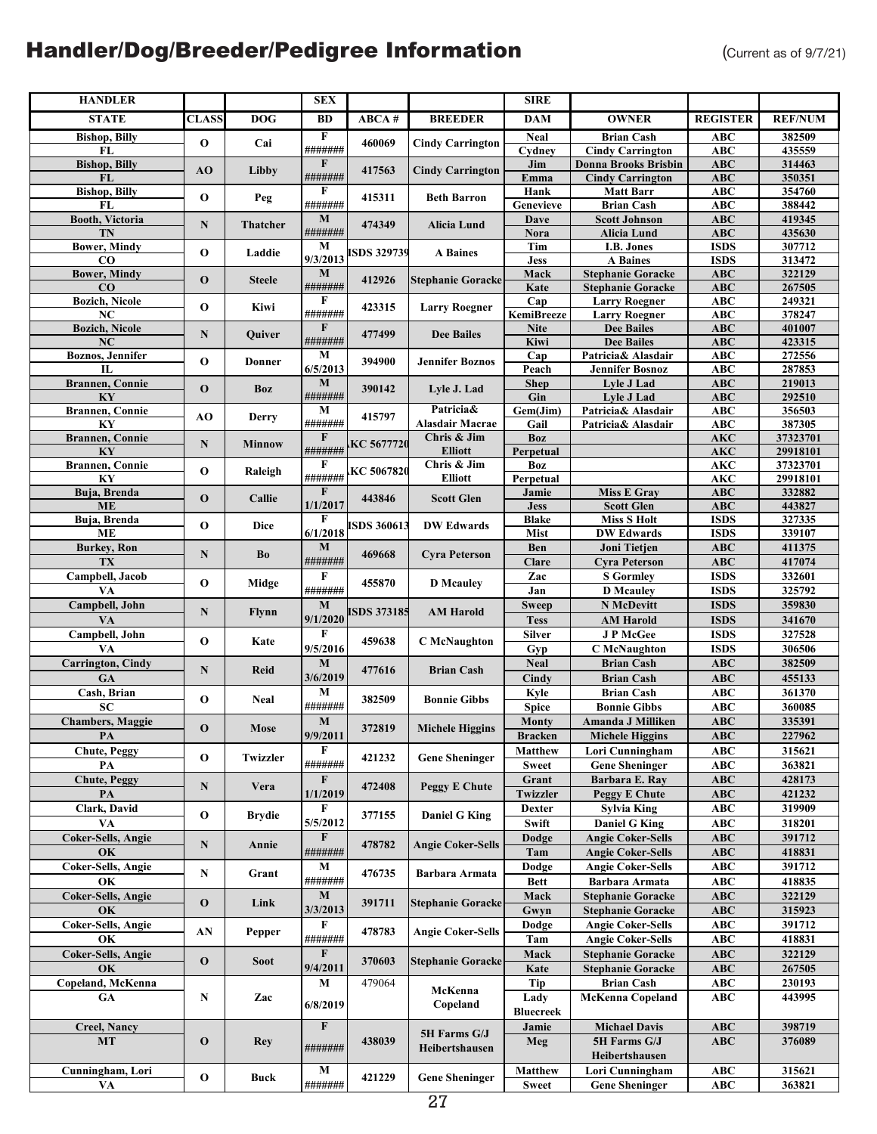| <b>HANDLER</b>            |              |                 | <b>SEX</b>     |                    |                          | <b>SIRE</b>      |                             |                 |                |
|---------------------------|--------------|-----------------|----------------|--------------------|--------------------------|------------------|-----------------------------|-----------------|----------------|
| <b>STATE</b>              | <b>CLASS</b> | <b>DOG</b>      | <b>BD</b>      | ABCA#              | <b>BREEDER</b>           | <b>DAM</b>       | <b>OWNER</b>                | <b>REGISTER</b> | <b>REF/NUM</b> |
| <b>Bishop, Billy</b>      |              |                 | $\overline{F}$ |                    |                          | <b>Neal</b>      | <b>Brian Cash</b>           | <b>ABC</b>      | 382509         |
| FL                        | $\mathbf 0$  | Cai             | #######        | 460069             | <b>Cindy Carrington</b>  | Cydney           | <b>Cindy Carrington</b>     | ABC             | 435559         |
| <b>Bishop, Billy</b>      |              |                 | F              |                    |                          | Jim              | <b>Donna Brooks Brisbin</b> | <b>ABC</b>      | 314463         |
| FL                        | AO           | Libby           | #######        | 417563             | <b>Cindy Carrington</b>  | Emma             | <b>Cindy Carrington</b>     | <b>ABC</b>      | 350351         |
| <b>Bishop, Billy</b>      |              |                 | F              |                    |                          | Hank             | <b>Matt Barr</b>            | <b>ABC</b>      | 354760         |
| FL                        | $\mathbf 0$  | Peg             | #######        | 415311             | <b>Beth Barron</b>       | Genevieve        | <b>Brian Cash</b>           | <b>ABC</b>      | 388442         |
| <b>Booth, Victoria</b>    |              |                 | $\mathbf M$    |                    |                          | Dave             | <b>Scott Johnson</b>        | ABC             | 419345         |
| TN                        | N            | <b>Thatcher</b> | #######        | 474349             | Alicia Lund              | Nora             | <b>Alicia Lund</b>          | <b>ABC</b>      | 435630         |
| <b>Bower, Mindy</b>       |              |                 | M              |                    |                          | Tim              | I.B. Jones                  | <b>ISDS</b>     | 307712         |
| CO                        | O            | Laddie          | 9/3/2013       | <b>ISDS 329739</b> | <b>A</b> Baines          | <b>Jess</b>      | <b>A</b> Baines             | <b>ISDS</b>     | 313472         |
| <b>Bower, Mindy</b>       |              |                 | $\mathbf M$    |                    |                          | Mack             | <b>Stephanie Goracke</b>    | <b>ABC</b>      | 322129         |
| CO                        | $\mathbf{o}$ | <b>Steele</b>   | #######        | 412926             | <b>Stephanie Goracke</b> | Kate             | <b>Stephanie Goracke</b>    | <b>ABC</b>      | 267505         |
| <b>Bozich, Nicole</b>     |              |                 | F              |                    |                          | $\overline{Cap}$ |                             | <b>ABC</b>      | 249321         |
|                           | O            | Kiwi            | #######        | 423315             | <b>Larry Roegner</b>     |                  | <b>Larry Roegner</b>        |                 |                |
| NC                        |              |                 | $\mathbf F$    |                    |                          | KemiBreeze       | <b>Larry Roegner</b>        | <b>ABC</b>      | 378247         |
| <b>Bozich, Nicole</b>     | ${\bf N}$    | Quiver          | #######        | 477499             | <b>Dee Bailes</b>        | <b>Nite</b>      | <b>Dee Bailes</b>           | <b>ABC</b>      | 401007         |
| NC                        |              |                 |                |                    |                          | Kiwi             | <b>Dee Bailes</b>           | <b>ABC</b>      | 423315         |
| <b>Boznos</b> , Jennifer  | O            | Donner          | М              | 394900             | <b>Jennifer Boznos</b>   | Cap              | Patricia& Alasdair          | <b>ABC</b>      | 272556         |
| $\mathbf{L}$              |              |                 | 6/5/2013       |                    |                          | Peach            | <b>Jennifer Bosnoz</b>      | <b>ABC</b>      | 287853         |
| <b>Brannen</b> , Connie   | $\mathbf 0$  | Boz             | $\mathbf M$    | 390142             | Lyle J. Lad              | <b>Shep</b>      | Lyle J Lad                  | <b>ABC</b>      | 219013         |
| KY                        |              |                 | #######        |                    |                          | Gin              | Lyle J Lad                  | <b>ABC</b>      | 292510         |
| <b>Brannen, Connie</b>    | AO           | Derry           | M              | 415797             | Patricia&                | Gem(Jim)         | Patricia& Alasdair          | <b>ABC</b>      | 356503         |
| KY                        |              |                 | #######        |                    | <b>Alasdair Macrae</b>   | Gail             | Patricia& Alasdair          | ABC             | 387305         |
| <b>Brannen, Connie</b>    | ${\bf N}$    | <b>Minnow</b>   | F              | KC 5677720         | Chris & Jim              | <b>Boz</b>       |                             | $\mathbf{AKC}$  | 37323701       |
| KY                        |              |                 | #######        |                    | <b>Elliott</b>           | Perpetual        |                             | <b>AKC</b>      | 29918101       |
| Brannen, Connie           | O            | Raleigh         | F              | KC 5067820         | Chris & Jim              | <b>Boz</b>       |                             | <b>AKC</b>      | 37323701       |
| KY                        |              |                 | #######        |                    | <b>Elliott</b>           | Perpetual        |                             | <b>AKC</b>      | 29918101       |
| Buja, Brenda              | $\mathbf{o}$ | Callie          | $\mathbf F$    | 443846             | <b>Scott Glen</b>        | Jamie            | <b>Miss E Gray</b>          | <b>ABC</b>      | 332882         |
| <b>ME</b>                 |              |                 | 1/1/2017       |                    |                          | <b>Jess</b>      | <b>Scott Glen</b>           | ABC             | 443827         |
| Buja, Brenda              | O            | Dice            | F              | <b>ISDS 360613</b> | <b>DW Edwards</b>        | <b>Blake</b>     | <b>Miss S Holt</b>          | <b>ISDS</b>     | 327335         |
| <b>ME</b>                 |              |                 | 6/1/2018       |                    |                          | Mist             | <b>DW Edwards</b>           | <b>ISDS</b>     | 339107         |
| <b>Burkey</b> , Ron       | ${\bf N}$    | Bo              | $\mathbf{M}$   | 469668             | <b>Cyra Peterson</b>     | Ben              | Joni Tietjen                | ABC             | 411375         |
| TX                        |              |                 | #######        |                    |                          | Clare            | <b>Cyra Peterson</b>        | <b>ABC</b>      | 417074         |
| Campbell, Jacob           |              |                 | F              |                    |                          | Zac              | <b>S</b> Gormley            | <b>ISDS</b>     | 332601         |
| VA                        | O            | Midge           | #######        | 455870             | <b>D</b> Mcauley         | Jan              | <b>D</b> Mcauley            | <b>ISDS</b>     | 325792         |
| Campbell, John            |              |                 | M              |                    |                          | <b>Sweep</b>     | N McDevitt                  | <b>ISDS</b>     | 359830         |
| VA                        | ${\bf N}$    | Flynn           | 9/1/2020       | <b>ISDS 373185</b> | <b>AM Harold</b>         | <b>Tess</b>      | <b>AM</b> Harold            | <b>ISDS</b>     | 341670         |
| Campbell, John            |              |                 | F              |                    |                          | <b>Silver</b>    | <b>JPMcGee</b>              | <b>ISDS</b>     | 327528         |
|                           | $\mathbf 0$  | Kate            |                | 459638             | <b>C</b> McNaughton      |                  |                             |                 |                |
| VA                        |              |                 | 9/5/2016       |                    |                          | Gyp              | <b>C</b> McNaughton         | <b>ISDS</b>     | 306506         |
| <b>Carrington</b> , Cindy | N            | <b>Reid</b>     | M              | 477616             | <b>Brian Cash</b>        | <b>Neal</b>      | <b>Brian Cash</b>           | <b>ABC</b>      | 382509         |
| GA                        |              |                 | 3/6/2019       |                    |                          | Cindy            | <b>Brian Cash</b>           | <b>ABC</b>      | 455133         |
| Cash, Brian               | O            | Neal            | $\mathbf M$    | 382509             | <b>Bonnie Gibbs</b>      | Kyle             | <b>Brian Cash</b>           | <b>ABC</b>      | 361370         |
| <b>SC</b>                 |              |                 | #######        |                    |                          | <b>Spice</b>     | <b>Bonnie Gibbs</b>         | <b>ABC</b>      | 360085         |
| <b>Chambers</b> , Maggie  | $\mathbf 0$  |                 | $\mathbf{M}$   | 372819             |                          | Monty            | Amanda J Milliken           | ABC             | 335391         |
| РA                        |              | Mose            | 9/9/2011       |                    | <b>Michele Higgins</b>   | <b>Bracken</b>   | <b>Michele Higgins</b>      | ABC             | 227962         |
| <b>Chute, Peggy</b>       |              |                 | F              |                    |                          | <b>Matthew</b>   | Lori Cunningham             | ABC             | 315621         |
| PA                        | $\mathbf{o}$ | Twizzler        | #######        | 421232             | <b>Gene Sheninger</b>    | <b>Sweet</b>     | <b>Gene Sheninger</b>       | <b>ABC</b>      | 363821         |
| <b>Chute, Peggy</b>       |              |                 | $\mathbf F$    |                    |                          | Grant            | Barbara E. Rav              | ABC             | 428173         |
| PA                        | N            | Vera            | 1/1/2019       | 472408             | <b>Peggy E Chute</b>     | Twizzler         | <b>Peggy E Chute</b>        | ABC             | 421232         |
| Clark, David              |              |                 | F              |                    |                          | <b>Dexter</b>    | <b>Sylvia King</b>          | ABC             | 319909         |
| VA                        | $\mathbf{o}$ | <b>Brydie</b>   | 5/5/2012       | 377155             | <b>Daniel G King</b>     |                  |                             |                 | 318201         |
|                           |              |                 | $\mathbf F$    |                    |                          | Swift            | <b>Daniel G King</b>        | <b>ABC</b>      |                |
| Coker-Sells, Angie        | N            | Annie           |                | 478782             | <b>Angie Coker-Sells</b> | Dodge            | Angie Coker-Sells           | ABC             | 391712         |
| OK                        |              |                 | #######        |                    |                          | Tam              | <b>Angie Coker-Sells</b>    | <b>ABC</b>      | 418831         |
| Coker-Sells, Angie        | N            | Grant           | М              | 476735             | Barbara Armata           | Dodge            | <b>Angie Coker-Sells</b>    | ABC             | 391712         |
| OК                        |              |                 | #######        |                    |                          | Bett             | Barbara Armata              | ABC             | 418835         |
| <b>Coker-Sells, Angie</b> | $\mathbf 0$  | Link            | M              | 391711             | <b>Stephanie Goracke</b> | Mack             | <b>Stephanie Goracke</b>    | <b>ABC</b>      | 322129         |
| OK                        |              |                 | 3/3/2013       |                    |                          | Gwyn             | <b>Stephanie Goracke</b>    | ABC             | 315923         |
| Coker-Sells, Angie        |              |                 | F              |                    |                          | Dodge            | <b>Angie Coker-Sells</b>    | ABC             | 391712         |
| OK                        | AN           | Pepper          | #######        | 478783             | <b>Angie Coker-Sells</b> | Tam              | <b>Angie Coker-Sells</b>    | ABC             | 418831         |
| <b>Coker-Sells, Angie</b> |              |                 | $\mathbf{F}$   |                    |                          | Mack             | <b>Stephanie Goracke</b>    | <b>ABC</b>      | 322129         |
| OK                        | $\mathbf{0}$ | <b>Soot</b>     | 9/4/2011       | 370603             | <b>Stephanie Goracke</b> | Kate             | <b>Stephanie Goracke</b>    | ABC             | 267505         |
| Copeland, McKenna         |              |                 | М              | 479064             |                          | <b>Tip</b>       | <b>Brian Cash</b>           | ABC             | 230193         |
| <b>GA</b>                 | N            | Zac             |                |                    | McKenna                  | Lady             | <b>McKenna Copeland</b>     | ABC             | 443995         |
|                           |              |                 | 6/8/2019       |                    | Copeland                 | <b>Bluecreek</b> |                             |                 |                |
|                           |              |                 | $\mathbf F$    |                    |                          |                  |                             |                 |                |
| <b>Creel, Nancy</b>       |              |                 |                |                    | 5H Farms G/J             | Jamie            | <b>Michael Davis</b>        | <b>ABC</b>      | 398719         |
| MT                        | $\mathbf 0$  | Rey             | #######        | 438039             | Heibertshausen           | Meg              | 5H Farms G/J                | ABC             | 376089         |
|                           |              |                 |                |                    |                          |                  | Heibertshausen              |                 |                |
| Cunningham, Lori          | $\mathbf{o}$ | Buck            | M              | 421229             | <b>Gene Sheninger</b>    | <b>Matthew</b>   | Lori Cunningham             | <b>ABC</b>      | 315621         |
| VA                        |              |                 | #######        |                    |                          | <b>Sweet</b>     | <b>Gene Sheninger</b>       | ABC             | 363821         |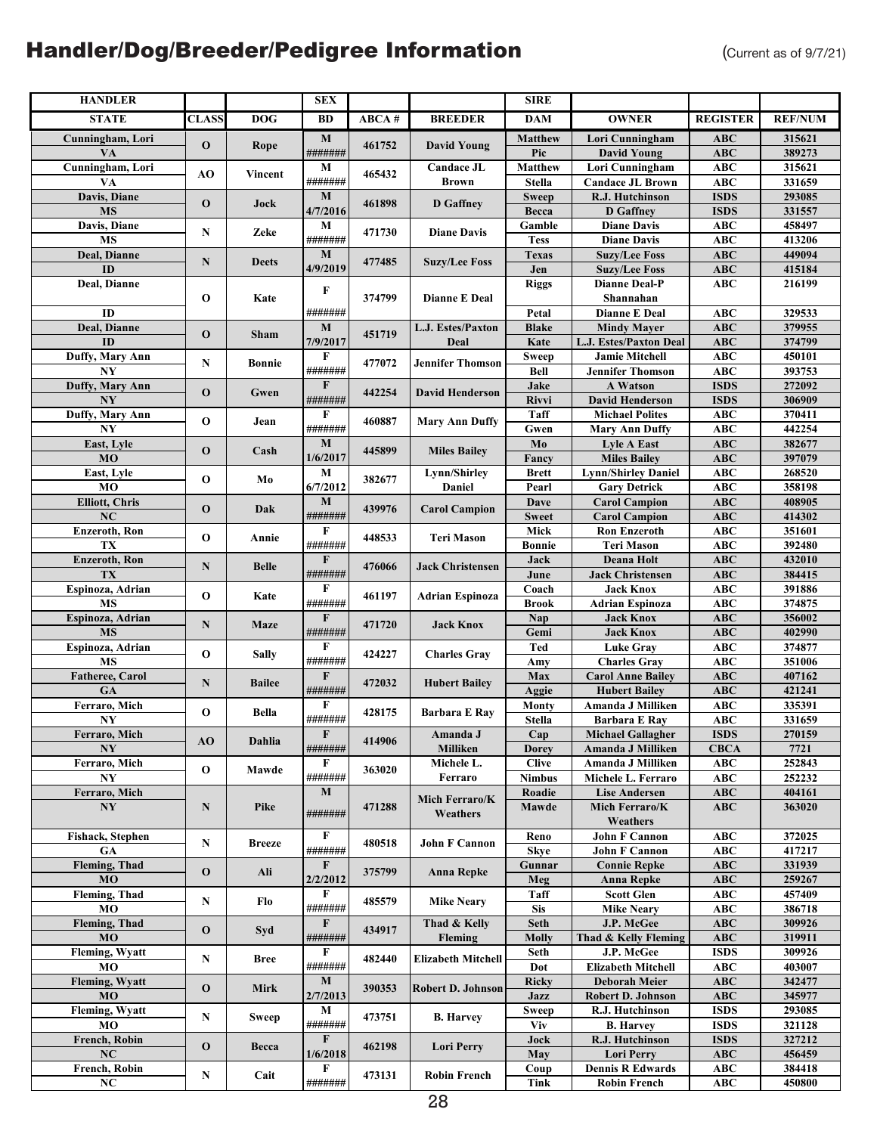| <b>HANDLER</b>            |              |               | <b>SEX</b>             |        |                           | <b>SIRE</b>                 |                                                  |                           |                  |
|---------------------------|--------------|---------------|------------------------|--------|---------------------------|-----------------------------|--------------------------------------------------|---------------------------|------------------|
| <b>STATE</b>              | CLASS        | <b>DOG</b>    | BD                     | ABCA # | <b>BREEDER</b>            | <b>DAM</b>                  | <b>OWNER</b>                                     | <b>REGISTER</b>           | <b>REF/NUM</b>   |
| Cunningham, Lori          |              |               | $\mathbf{M}$           | 461752 |                           | <b>Matthew</b>              | Lori Cunningham                                  | ABC                       | 315621           |
| VA                        | $\mathbf{o}$ | Rope          | #######                |        | <b>David Young</b>        | Pic                         | <b>David Young</b>                               | <b>ABC</b>                | 389273           |
| Cunningham, Lori          | AO           | Vincent       | М                      | 465432 | <b>Candace JL</b>         | <b>Matthew</b>              | Lori Cunningham                                  | <b>ABC</b>                | 315621           |
| VA                        |              |               | #######                |        | <b>Brown</b>              | Stella                      | <b>Candace JL Brown</b>                          | <b>ABC</b>                | 331659           |
| Davis, Diane<br><b>MS</b> | $\mathbf 0$  | Jock          | $\bf{M}$<br>4/7/2016   | 461898 | <b>D</b> Gaffney          | <b>Sweep</b>                | R.J. Hutchinson                                  | <b>ISDS</b>               | 293085           |
| Davis, Diane              |              |               | М                      |        |                           | Becca<br>Gamble             | <b>D</b> Gaffney<br><b>Diane Davis</b>           | <b>ISDS</b><br><b>ABC</b> | 331557<br>458497 |
| <b>MS</b>                 | N            | Zeke          | #######                | 471730 | <b>Diane Davis</b>        | <b>Tess</b>                 | <b>Diane Davis</b>                               | <b>ABC</b>                | 413206           |
| Deal, Dianne              |              |               | $\mathbf M$            |        |                           | <b>Texas</b>                | <b>Suzy/Lee Foss</b>                             | $\mathbf{ABC}$            | 449094           |
| ID                        | $\mathbf N$  | <b>Deets</b>  | 4/9/2019               | 477485 | <b>Suzy/Lee Foss</b>      | Jen                         | <b>Suzy/Lee Foss</b>                             | <b>ABC</b>                | 415184           |
| Deal, Dianne              |              |               | $\bf F$                |        |                           | <b>Riggs</b>                | <b>Dianne Deal-P</b>                             | ABC                       | 216199           |
|                           | O            | Kate          |                        | 374799 | Dianne E Deal             |                             | Shannahan                                        |                           |                  |
| ID                        |              |               | #######                |        |                           | Petal                       | <b>Dianne E Deal</b>                             | <b>ABC</b>                | 329533           |
| Deal, Dianne              | $\mathbf{o}$ | Sham          | $\mathbf{M}$           | 451719 | L.J. Estes/Paxton         | <b>Blake</b>                | <b>Mindy Mayer</b>                               | ABC                       | 379955           |
| ID                        |              |               | 7/9/2017<br>F          |        | Deal                      | Kate                        | L.J. Estes/Paxton Deal<br><b>Jamie Mitchell</b>  | <b>ABC</b><br><b>ABC</b>  | 374799<br>450101 |
| Duffy, Mary Ann<br>NY     | N            | <b>Bonnie</b> | #######                | 477072 | <b>Jennifer Thomson</b>   | <b>Sweep</b><br><b>Bell</b> | <b>Jennifer Thomson</b>                          | <b>ABC</b>                | 393753           |
| Duffy, Mary Ann           |              |               | $\mathbf F$            |        |                           | Jake                        | <b>A Watson</b>                                  | <b>ISDS</b>               | 272092           |
| NY                        | $\mathbf{o}$ | Gwen          | #######                | 442254 | <b>David Henderson</b>    | Rivvi                       | <b>David Henderson</b>                           | <b>ISDS</b>               | 306909           |
| Duffy, Mary Ann           |              |               | F                      |        |                           | Taff                        | <b>Michael Polites</b>                           | <b>ABC</b>                | 370411           |
| NY                        | $\mathbf 0$  | Jean          | #######                | 460887 | <b>Mary Ann Duffy</b>     | Gwen                        | <b>Mary Ann Duffy</b>                            | ABC                       | 442254           |
| East, Lyle                | $\mathbf{o}$ | Cash          | $\mathbf{M}$           | 445899 | <b>Miles Bailey</b>       | Mo                          | <b>Lyle A East</b>                               | $\mathbf{ABC}$            | 382677           |
| MO                        |              |               | 1/6/2017               |        |                           | Fancy                       | <b>Miles Bailey</b>                              | <b>ABC</b>                | 397079           |
| East, Lyle                | O            | Mo            | $\mathbf M$            | 382677 | Lynn/Shirley              | <b>Brett</b>                | <b>Lynn/Shirley Daniel</b>                       | <b>ABC</b>                | 268520           |
| MO                        |              |               | 6/7/2012               |        | Daniel                    | Pearl                       | <b>Gary Detrick</b>                              | <b>ABC</b>                | 358198           |
| <b>Elliott, Chris</b>     | $\mathbf 0$  | Dak           | M                      | 439976 | <b>Carol Campion</b>      | Dave                        | <b>Carol Campion</b>                             | <b>ABC</b>                | 408905           |
| NC<br>Enzeroth, Ron       |              |               | #######<br>$\bf F$     |        |                           | <b>Sweet</b><br>Mick        | <b>Carol Campion</b><br><b>Ron Enzeroth</b>      | ABC<br><b>ABC</b>         | 414302<br>351601 |
| TX                        | $\mathbf{o}$ | Annie         | #######                | 448533 | Teri Mason                | Bonnie                      | <b>Teri Mason</b>                                | <b>ABC</b>                | 392480           |
| Enzeroth, Ron             |              |               | $\mathbf F$            |        |                           | Jack                        | Deana Holt                                       | ABC                       | 432010           |
| TX                        | N            | <b>Belle</b>  | #######                | 476066 | <b>Jack Christensen</b>   | June                        | <b>Jack Christensen</b>                          | ABC                       | 384415           |
| Espinoza, Adrian          |              |               | F                      |        |                           | Coach                       | <b>Jack Knox</b>                                 | <b>ABC</b>                | 391886           |
| <b>MS</b>                 | O            | Kate          | #######                | 461197 | <b>Adrian Espinoza</b>    | <b>Brook</b>                | <b>Adrian Espinoza</b>                           | <b>ABC</b>                | 374875           |
| Espinoza, Adrian          | N            | Maze          | $\mathbf{F}$           | 471720 | <b>Jack Knox</b>          | Nap                         | <b>Jack Knox</b>                                 | <b>ABC</b>                | 356002           |
| <b>MS</b>                 |              |               | #######                |        |                           | Gemi                        | <b>Jack Knox</b>                                 | $\mathbf{ABC}$            | 402990           |
| Espinoza, Adrian          | $\mathbf 0$  | <b>Sally</b>  | F                      | 424227 | <b>Charles Gray</b>       | Ted                         | <b>Luke Gray</b>                                 | <b>ABC</b>                | 374877           |
| <b>MS</b>                 |              |               | #######<br>$\mathbf F$ |        |                           | Amy<br>Max                  | <b>Charles Gray</b>                              | <b>ABC</b>                | 351006           |
| Fatheree, Carol<br>GA     | $\mathbf N$  | <b>Bailee</b> | #######                | 472032 | <b>Hubert Bailey</b>      | Aggie                       | <b>Carol Anne Bailey</b><br><b>Hubert Bailey</b> | $\mathbf{ABC}$<br>ABC     | 407162<br>421241 |
| Ferraro, Mich             |              |               | F                      |        |                           | Monty                       | Amanda J Milliken                                | <b>ABC</b>                | 335391           |
| NY                        | O            | Bella         | #######                | 428175 | <b>Barbara E Ray</b>      | Stella                      | Barbara E Ray                                    | <b>ABC</b>                | 331659           |
| Ferraro, Mich             |              |               | $\mathbf F$            | 414906 | Amanda J                  | Cap                         | <b>Michael Gallagher</b>                         | <b>ISDS</b>               | 270159           |
| <b>NY</b>                 | AO           | Dahlia        | #######                |        | Milliken                  | <b>Dorey</b>                | Amanda J Milliken                                | <b>CBCA</b>               | 7721             |
| Ferraro, Mich             | $\mathbf 0$  | Mawde         | F                      | 363020 | Michele L.                | <b>Clive</b>                | Amanda J Milliken                                | ABC                       | 252843           |
| N <sub>Y</sub>            |              |               | #######                |        | Ferraro                   | <b>Nimbus</b>               | Michele L. Ferraro                               | ABC                       | 252232           |
| Ferraro, Mich             |              |               | M                      |        | Mich Ferraro/K            | Roadie                      | <b>Lise Andersen</b>                             | <b>ABC</b>                | 404161           |
| N <sub>Y</sub>            | $\mathbf N$  | Pike          | #######                | 471288 | Weathers                  | Mawde                       | Mich Ferraro/K<br>Weathers                       | ABC                       | 363020           |
| Fishack, Stephen          |              |               | F                      |        |                           | Reno                        | <b>John F Cannon</b>                             | ABC                       | 372025           |
| <b>GA</b>                 | N            | <b>Breeze</b> | #######                | 480518 | <b>John F Cannon</b>      | <b>Skye</b>                 | <b>John F Cannon</b>                             | <b>ABC</b>                | 417217           |
| <b>Fleming</b> , Thad     |              |               | $\mathbf{F}$           |        |                           | Gunnar                      | <b>Connie Repke</b>                              | <b>ABC</b>                | 331939           |
| <b>MO</b>                 | $\mathbf 0$  | Ali           | 2/2/2012               | 375799 | <b>Anna Repke</b>         | Meg                         | <b>Anna Repke</b>                                | ABC                       | 259267           |
| Fleming, Thad             | N            | Flo           | F                      | 485579 | <b>Mike Neary</b>         | Taff                        | <b>Scott Glen</b>                                | <b>ABC</b>                | 457409           |
| MO                        |              |               | #######                |        |                           | <b>Sis</b>                  | <b>Mike Neary</b>                                | <b>ABC</b>                | 386718           |
| Fleming, Thad             | $\mathbf{O}$ | Syd           | $\mathbf{F}$           | 434917 | Thad & Kelly              | Seth                        | J.P. McGee                                       | <b>ABC</b>                | 309926           |
| <b>MO</b>                 |              |               | #######<br>F           |        | Fleming                   | <b>Molly</b>                | Thad & Kelly Fleming                             | <b>ABC</b>                | 319911           |
| Fleming, Wyatt<br>MO      | N            | <b>Bree</b>   | #######                | 482440 | <b>Elizabeth Mitchell</b> | Seth<br>Dot                 | J.P. McGee<br><b>Elizabeth Mitchell</b>          | <b>ISDS</b><br><b>ABC</b> | 309926<br>403007 |
| <b>Fleming, Wyatt</b>     |              |               | M                      |        |                           | <b>Ricky</b>                | <b>Deborah Meier</b>                             | <b>ABC</b>                | 342477           |
| <b>MO</b>                 | $\mathbf 0$  | Mirk          | 2/7/2013               | 390353 | Robert D. Johnson         | Jazz                        | Robert D. Johnson                                | ABC                       | 345977           |
| Fleming, Wyatt            |              |               | М                      |        |                           | Sweep                       | R.J. Hutchinson                                  | <b>ISDS</b>               | 293085           |
| MO                        | N            | Sweep         | #######                | 473751 | <b>B.</b> Harvey          | <b>Viv</b>                  | <b>B.</b> Harvey                                 | <b>ISDS</b>               | 321128           |
| French, Robin             | $\mathbf 0$  | Becca         | $\mathbf{F}$           | 462198 | <b>Lori Perry</b>         | Jock                        | R.J. Hutchinson                                  | <b>ISDS</b>               | 327212           |
| NC                        |              |               | 1/6/2018               |        |                           | May                         | <b>Lori Perry</b>                                | <b>ABC</b>                | 456459           |
| French, Robin             | N            | Cait          | F                      | 473131 | <b>Robin French</b>       | Coup                        | <b>Dennis R Edwards</b>                          | ABC                       | 384418           |
| NC                        |              |               | #######                |        |                           | Tink                        | <b>Robin French</b>                              | ABC                       | 450800           |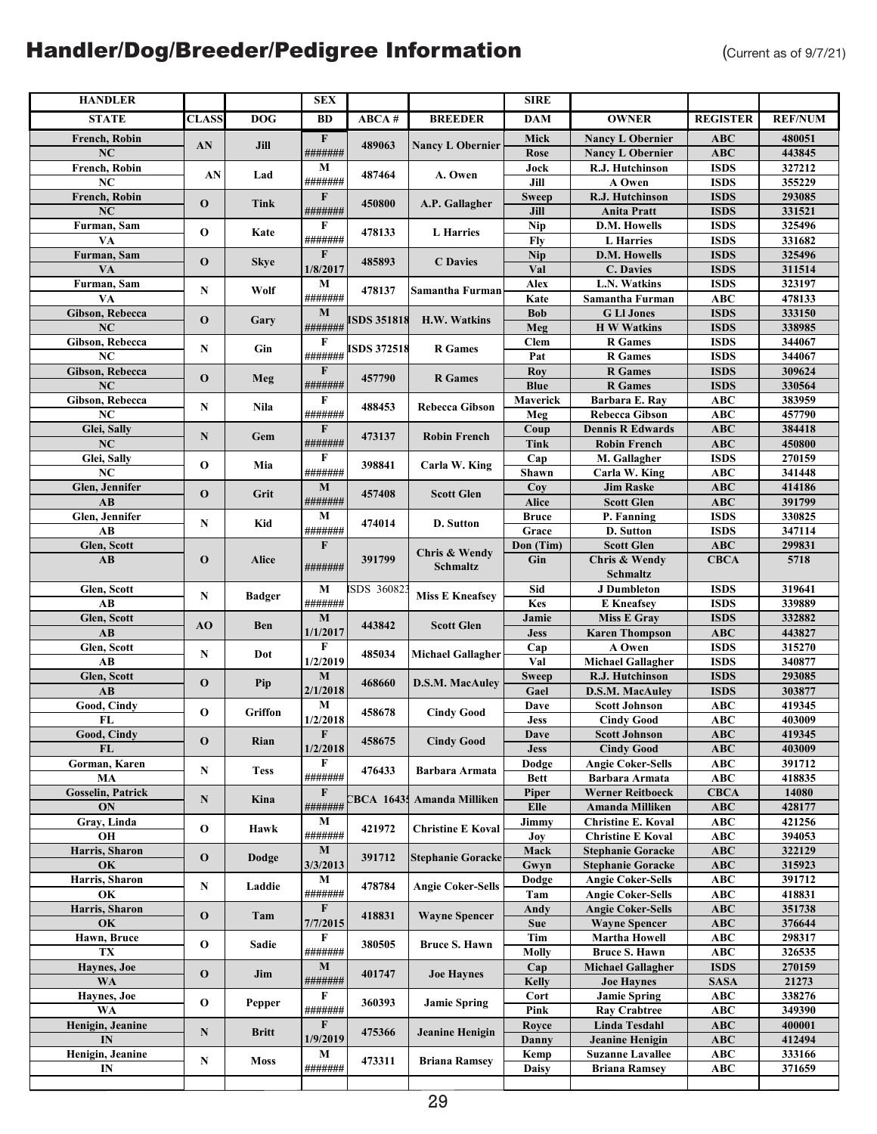| <b>HANDLER</b>                        |              |               | <b>SEX</b>               |                    |                          | <b>SIRE</b>       |                                                       |                            |                  |
|---------------------------------------|--------------|---------------|--------------------------|--------------------|--------------------------|-------------------|-------------------------------------------------------|----------------------------|------------------|
| <b>STATE</b>                          | <b>CLASS</b> | <b>DOG</b>    | <b>BD</b>                | ABCA#              | <b>BREEDER</b>           | <b>DAM</b>        | <b>OWNER</b>                                          | <b>REGISTER</b>            | <b>REF/NUM</b>   |
| <b>French, Robin</b>                  |              |               | $\mathbf{F}$             |                    |                          | Mick              | <b>Nancy L Obernier</b>                               | <b>ABC</b>                 | 480051           |
| NC                                    | AN           | Jill          | #######                  | 489063             | <b>Nancy L Obernier</b>  | Rose              | <b>Nancy L Obernier</b>                               | ABC                        | 443845           |
| French, Robin                         | AN           | Lad           | М                        | 487464             | A. Owen                  | Jock              | R.J. Hutchinson                                       | <b>ISDS</b>                | 327212           |
| NC                                    |              |               | #######                  |                    |                          | Jill              | A Owen                                                | <b>ISDS</b>                | 355229           |
| French, Robin                         | $\mathbf 0$  | Tink          | F                        | 450800             | A.P. Gallagher           | <b>Sweep</b>      | R.J. Hutchinson                                       | <b>ISDS</b>                | 293085           |
| $\overline{\text{NC}}$                |              |               | #######                  |                    |                          | Jill              | <b>Anita Pratt</b>                                    | <b>ISDS</b>                | 331521           |
| Furman, Sam                           | $\mathbf 0$  | Kate          | F                        | 478133             | L Harries                | <b>Nip</b>        | D.M. Howells                                          | <b>ISDS</b>                | 325496           |
| VA                                    |              |               | #######<br>$\mathbf{F}$  |                    |                          | Fly               | <b>L</b> Harries<br>D.M. Howells                      | <b>ISDS</b><br><b>ISDS</b> | 331682<br>325496 |
| Furman, Sam<br>VA                     | $\mathbf 0$  | <b>Skye</b>   | 1/8/2017                 | 485893             | <b>C</b> Davies          | <b>Nip</b><br>Val | C. Davies                                             | <b>ISDS</b>                | 311514           |
| Furman, Sam                           |              |               | M                        |                    |                          | Alex              | L.N. Watkins                                          | <b>ISDS</b>                | 323197           |
| VA                                    | N            | Wolf          | #######                  | 478137             | Samantha Furman          | Kate              | Samantha Furman                                       | <b>ABC</b>                 | 478133           |
| Gibson, Rebecca                       |              |               | M                        |                    |                          | <b>Bob</b>        | <b>G</b> LI Jones                                     | <b>ISDS</b>                | 333150           |
| ${\bf NC}$                            | $\mathbf{o}$ | Gary          | #######                  | <b>ISDS 351818</b> | H.W. Watkins             | Meg               | <b>H W Watkins</b>                                    | <b>ISDS</b>                | 338985           |
| Gibson, Rebecca                       | N            | Gin           | F                        | <b>ISDS 372518</b> | <b>R</b> Games           | <b>Clem</b>       | <b>R</b> Games                                        | <b>ISDS</b>                | 344067           |
| NC                                    |              |               | #######                  |                    |                          | Pat               | <b>R</b> Games                                        | <b>ISDS</b>                | 344067           |
| Gibson, Rebecca                       | $\mathbf 0$  | Meg           | F                        | 457790             | <b>R</b> Games           | Roy               | <b>R</b> Games                                        | <b>ISDS</b>                | 309624           |
| NC                                    |              |               | #######                  |                    |                          | <b>Blue</b>       | <b>R</b> Games                                        | <b>ISDS</b>                | 330564           |
| Gibson, Rebecca<br>NC                 | N            | Nila          | F<br>#######             | 488453             | Rebecca Gibson           | Maverick<br>Meg   | Barbara E. Ray<br>Rebecca Gibson                      | ABC<br>ABC                 | 383959<br>457790 |
| Glei, Sally                           |              |               | F                        |                    |                          | Coup              | <b>Dennis R Edwards</b>                               | ABC                        | 384418           |
| NC                                    | N            | Gem           | #######                  | 473137             | <b>Robin French</b>      | Tink              | <b>Robin French</b>                                   | ABC                        | 450800           |
| Glei, Sally                           |              |               | F                        |                    |                          | Cap               | M. Gallagher                                          | <b>ISDS</b>                | 270159           |
| NC                                    | $\mathbf 0$  | Mia           | #######                  | 398841             | Carla W. King            | Shawn             | Carla W. King                                         | ABC                        | 341448           |
| Glen, Jennifer                        | $\mathbf 0$  | Grit          | $\mathbf{M}$             | 457408             | <b>Scott Glen</b>        | Coy               | <b>Jim Raske</b>                                      | <b>ABC</b>                 | 414186           |
| AB                                    |              |               | #######                  |                    |                          | Alice             | <b>Scott Glen</b>                                     | <b>ABC</b>                 | 391799           |
| Glen, Jennifer                        | N            | Kid           | M                        | 474014             | D. Sutton                | <b>Bruce</b>      | P. Fanning                                            | <b>ISDS</b>                | 330825           |
| AB                                    |              |               | #######                  |                    |                          | Grace             | D. Sutton                                             | <b>ISDS</b>                | 347114           |
| Glen, Scott<br>AB                     | $\mathbf{o}$ | Alice         | ${\bf F}$                | 391799             | Chris & Wendy            | Don (Tim)<br>Gin  | <b>Scott Glen</b><br>Chris & Wendy                    | ABC<br><b>CBCA</b>         | 299831<br>5718   |
|                                       |              |               | #######                  |                    | Schmaltz                 |                   | Schmaltz                                              |                            |                  |
| Glen, Scott                           |              |               | M                        | ISDS 36082         |                          | Sid               | <b>J</b> Dumbleton                                    | <b>ISDS</b>                | 319641           |
| AB                                    | N            | <b>Badger</b> | #######                  |                    | <b>Miss E Kneafsey</b>   | Kes               | <b>E</b> Kneafsey                                     | <b>ISDS</b>                | 339889           |
| Glen, Scott                           | AO           | Ben           | $\mathbf{M}$             | 443842             | <b>Scott Glen</b>        | Jamie             | <b>Miss E Gray</b>                                    | <b>ISDS</b>                | 332882           |
| AB                                    |              |               | 1/1/2017                 |                    |                          | <b>Jess</b>       | <b>Karen Thompson</b>                                 | ABC                        | 443827           |
| Glen, Scott                           | N            | Dot           | F                        | 485034             | <b>Michael Gallagher</b> | Cap               | A Owen                                                | <b>ISDS</b>                | 315270           |
| AB                                    |              |               | 1/2/2019                 |                    |                          | Val               | <b>Michael Gallagher</b>                              | <b>ISDS</b>                | 340877           |
| Glen, Scott<br>$\mathbf{A}\mathbf{B}$ | $\mathbf{o}$ | Pip           | $\mathbf{M}$<br>2/1/2018 | 468660             | <b>D.S.M. MacAuley</b>   | <b>Sweep</b>      | R.J. Hutchinson                                       | <b>ISDS</b><br><b>ISDS</b> | 293085<br>303877 |
| Good, Cindy                           |              |               | $\overline{\mathbf{M}}$  |                    |                          | Gael<br>Dave      | <b>D.S.M. MacAuley</b><br><b>Scott Johnson</b>        | ABC                        | 419345           |
| FL                                    | $\mathbf 0$  | Griffon       | 1/2/2018                 | 458678             | <b>Cindy Good</b>        | <b>Jess</b>       | <b>Cindy Good</b>                                     | <b>ABC</b>                 | 403009           |
| Good, Cindy                           |              |               | F                        |                    |                          | <b>Dave</b>       | <b>Scott Johnson</b>                                  | $\overline{\text{ABC}}$    | 419345           |
| FL                                    | $\mathbf 0$  | Rian          | 1/2/2018                 | 458675             | <b>Cindy Good</b>        | <b>Jess</b>       | <b>Cindy Good</b>                                     | ABC                        | 403009           |
| Gorman, Karen                         | N            | <b>Tess</b>   | F                        | 476433             | Barbara Armata           | Dodge             | <b>Angie Coker-Sells</b>                              | ABC                        | 391712           |
| MA                                    |              |               | #######                  |                    |                          | <b>Bett</b>       | Barbara Armata                                        | ABC                        | 418835           |
| <b>Gosselin, Patrick</b>              | N            | Kina          | F                        | <b>BCA 16435</b>   | Amanda Milliken          | Piper             | Werner Reitboeck                                      | <b>CBCA</b>                | 14080            |
| ON                                    |              |               | #######                  |                    |                          | Elle              | Amanda Milliken                                       | ABC                        | 428177           |
| Gray, Linda<br>OН                     | $\mathbf 0$  | Hawk          | М<br>#######             | 421972             | <b>Christine E Koval</b> | Jimmy<br>Joy      | <b>Christine E. Koval</b><br><b>Christine E Koval</b> | ABC<br>ABC                 | 421256<br>394053 |
| Harris, Sharon                        |              |               | $\mathbf M$              |                    |                          | Mack              | <b>Stephanie Goracke</b>                              | ABC                        | 322129           |
| OK                                    | $\mathbf 0$  | Dodge         | 3/3/2013                 | 391712             | <b>Stephanie Goracke</b> | Gwyn              | <b>Stephanie Goracke</b>                              | <b>ABC</b>                 | 315923           |
| Harris, Sharon                        |              |               | М                        | 478784             |                          | Dodge             | <b>Angie Coker-Sells</b>                              | ABC                        | 391712           |
| OK                                    | N            | Laddie        | #######                  |                    | <b>Angie Coker-Sells</b> | Tam               | <b>Angie Coker-Sells</b>                              | ABC                        | 418831           |
| Harris, Sharon                        | $\mathbf 0$  | Tam           | $\mathbf F$              | 418831             | <b>Wayne Spencer</b>     | Andy              | <b>Angie Coker-Sells</b>                              | ABC                        | 351738           |
| OK                                    |              |               | 7/7/2015                 |                    |                          | <b>Sue</b>        | <b>Wayne Spencer</b>                                  | ABC                        | 376644           |
| Hawn, Bruce                           | $\mathbf 0$  | Sadie         | F                        | 380505             | <b>Bruce S. Hawn</b>     | Tim               | Martha Howell                                         | ABC                        | 298317           |
| TX<br>Haynes, Joe                     |              |               | #######<br>M             |                    |                          | Molly<br>Cap      | <b>Bruce S. Hawn</b><br><b>Michael Gallagher</b>      | ABC<br><b>ISDS</b>         | 326535<br>270159 |
| <b>WA</b>                             | $\mathbf{o}$ | Jim           | #######                  | 401747             | <b>Joe Haynes</b>        | <b>Kelly</b>      | <b>Joe Haynes</b>                                     | <b>SASA</b>                | 21273            |
| Haynes, Joe                           |              |               | F                        |                    |                          | Cort              | <b>Jamie Spring</b>                                   | ABC                        | 338276           |
| WA                                    | 0            | Pepper        | #######                  | 360393             | <b>Jamie Spring</b>      | Pink              | <b>Ray Crabtree</b>                                   | ABC                        | 349390           |
| Henigin, Jeanine                      | ${\bf N}$    |               | F                        | 475366             | Jeanine Henigin          | Royce             | Linda Tesdahl                                         | ABC                        | 400001           |
| IN                                    |              | Britt         | 1/9/2019                 |                    |                          | Danny             | <b>Jeanine Henigin</b>                                | <b>ABC</b>                 | 412494           |
| Henigin, Jeanine                      | N            | Moss          | М                        | 473311             | <b>Briana Ramsey</b>     | Kemp              | <b>Suzanne Lavallee</b>                               | <b>ABC</b>                 | 333166           |
| $\mathbf{IN}$                         |              |               | #######                  |                    |                          | <b>Daisy</b>      | <b>Briana Ramsey</b>                                  | ABC                        | 371659           |
|                                       |              |               |                          |                    |                          |                   |                                                       |                            |                  |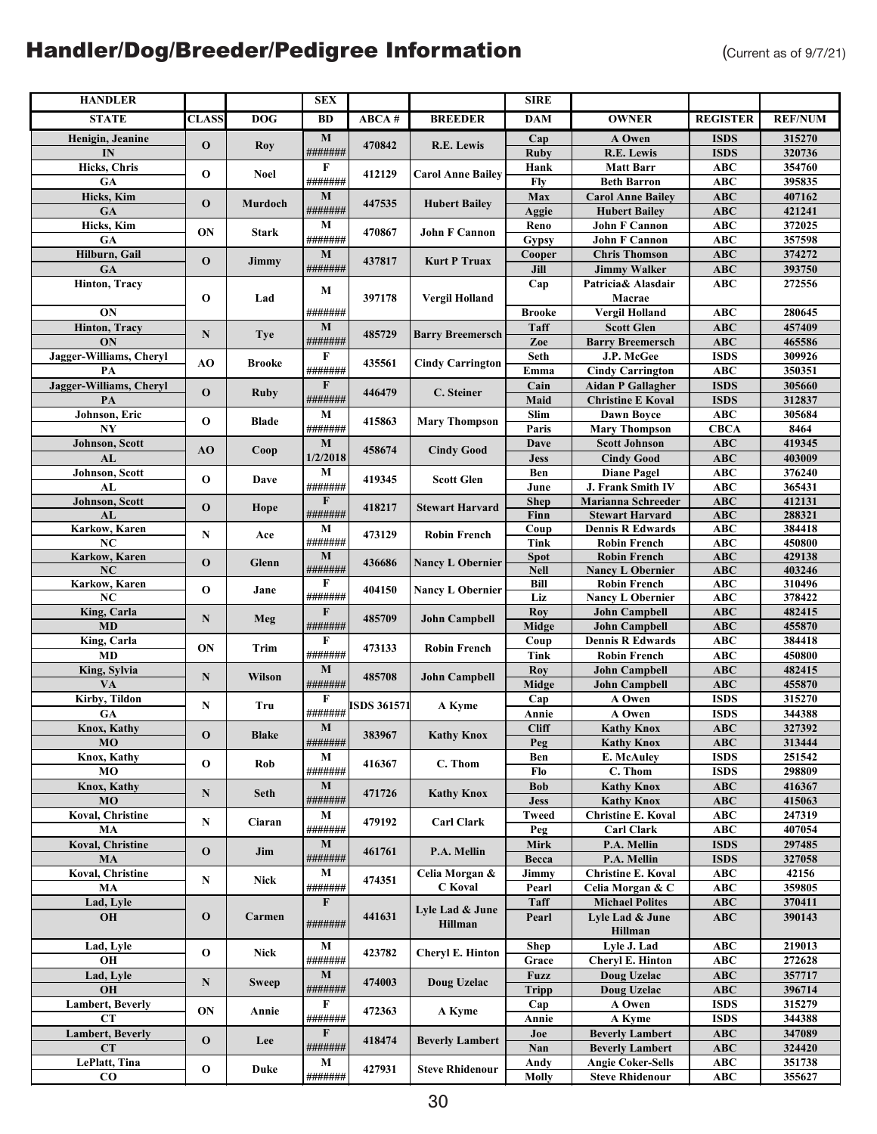| <b>HANDLER</b>           |              |               | ${\bf SEX}$            |                    |                           | <b>SIRE</b>               |                                                   |                          |                  |
|--------------------------|--------------|---------------|------------------------|--------------------|---------------------------|---------------------------|---------------------------------------------------|--------------------------|------------------|
| <b>STATE</b>             | <b>CLASS</b> | <b>DOG</b>    | BD                     | ABCA#              | <b>BREEDER</b>            | <b>DAM</b>                | <b>OWNER</b>                                      | <b>REGISTER</b>          | <b>REF/NUM</b>   |
| Henigin, Jeanine         |              |               | $\mathbf M$            |                    |                           | Cap                       | A Owen                                            | <b>ISDS</b>              | 315270           |
| IN                       | $\bf{0}$     | <b>Roy</b>    | #######                | 470842             | R.E. Lewis                | <b>Ruby</b>               | R.E. Lewis                                        | <b>ISDS</b>              | 320736           |
| Hicks, Chris             | $\mathbf{o}$ | Noel          | F                      | 412129             | <b>Carol Anne Bailey</b>  | Hank                      | <b>Matt Barr</b>                                  | ABC                      | 354760           |
| GA                       |              |               | #######                |                    |                           | <b>Fly</b>                | <b>Beth Barron</b>                                | <b>ABC</b>               | 395835           |
| Hicks, Kim               | $\mathbf{o}$ | Murdoch       | M                      | 447535             | <b>Hubert Bailey</b>      | Max                       | <b>Carol Anne Bailey</b>                          | <b>ABC</b>               | 407162           |
| GA                       |              |               | #######                |                    |                           | Aggie                     | <b>Hubert Bailey</b>                              | ABC                      | 421241           |
| Hicks, Kim               | ON           | <b>Stark</b>  | M                      | 470867             | John F Cannon             | Reno                      | <b>John F Cannon</b>                              | <b>ABC</b>               | 372025           |
| GA                       |              |               | #######                |                    |                           | <b>Gypsy</b>              | <b>John F Cannon</b>                              | <b>ABC</b>               | 357598           |
| Hilburn, Gail<br>GA      | $\mathbf{o}$ | Jimmy         | $\mathbf M$<br>####### | 437817             | <b>Kurt P Truax</b>       | Cooper<br>$\mathbf{Jill}$ | <b>Chris Thomson</b>                              | ABC                      | 374272<br>393750 |
| Hinton, Tracy            |              |               |                        |                    |                           | Cap                       | <b>Jimmy Walker</b><br>Patricia& Alasdair         | <b>ABC</b><br><b>ABC</b> | 272556           |
|                          | $\mathbf{o}$ | Lad           | М                      | 397178             | <b>Vergil Holland</b>     |                           | Macrae                                            |                          |                  |
| ON                       |              |               | #######                |                    |                           | <b>Brooke</b>             | Vergil Holland                                    | <b>ABC</b>               | 280645           |
| Hinton, Tracy            |              |               | $\mathbf{M}$           |                    |                           | Taff                      | <b>Scott Glen</b>                                 | <b>ABC</b>               | 457409           |
| ON                       | N            | <b>Tye</b>    | #######                | 485729             | <b>Barry Breemersch</b>   | Zoe                       | <b>Barry Breemersch</b>                           | ABC                      | 465586           |
| Jagger-Williams, Cheryl  |              |               | F                      |                    |                           | Seth                      | J.P. McGee                                        | <b>ISDS</b>              | 309926           |
| PA                       | AO           | <b>Brooke</b> | #######                | 435561             | <b>Cindy Carrington</b>   | Emma                      | <b>Cindy Carrington</b>                           | ABC                      | 350351           |
| Jagger-Williams, Cheryl  | $\mathbf 0$  | <b>Ruby</b>   | $\mathbf F$            | 446479             | C. Steiner                | Cain                      | <b>Aidan P Gallagher</b>                          | <b>ISDS</b>              | 305660           |
| PA                       |              |               | #######                |                    |                           | Maid                      | <b>Christine E Koval</b>                          | <b>ISDS</b>              | 312837           |
| Johnson, Eric            | $\mathbf 0$  | <b>Blade</b>  | $\mathbf{M}$           | 415863             | <b>Mary Thompson</b>      | Slim                      | <b>Dawn Boyce</b>                                 | ABC                      | 305684           |
| NY                       |              |               | #######                |                    |                           | Paris                     | Mary Thompson                                     | <b>CBCA</b>              | 8464             |
| Johnson, Scott           | AO           | Coop          | $\mathbf M$            | 458674             | <b>Cindy Good</b>         | Dave                      | <b>Scott Johnson</b>                              | ABC                      | 419345           |
| AL                       |              |               | 1/2/2018               |                    |                           | <b>Jess</b>               | <b>Cindy Good</b>                                 | <b>ABC</b>               | 403009           |
| Johnson, Scott           | $\mathbf{o}$ | Dave          | M                      | 419345             | <b>Scott Glen</b>         | Ben                       | <b>Diane Pagel</b>                                | <b>ABC</b>               | 376240           |
| AL                       |              |               | #######                |                    |                           | June                      | J. Frank Smith IV                                 | ABC                      | 365431           |
| Johnson, Scott<br>AL     | $\mathbf{o}$ | Hope          | $\mathbf F$<br>####### | 418217             | <b>Stewart Harvard</b>    | Shep<br>Finn              | <b>Marianna Schreeder</b>                         | <b>ABC</b><br>ABC        | 412131<br>288321 |
| Karkow, Karen            |              |               | M                      |                    |                           | Coup                      | <b>Stewart Harvard</b><br><b>Dennis R Edwards</b> | ABC                      | 384418           |
| NC                       | N            | Ace           | #######                | 473129             | <b>Robin French</b>       | Tink                      | <b>Robin French</b>                               | <b>ABC</b>               | 450800           |
| Karkow, Karen            |              |               | $\mathbf{M}$           |                    |                           | <b>Spot</b>               | <b>Robin French</b>                               | ABC                      | 429138           |
| NC                       | $\mathbf{o}$ | Glenn         | #######                | 436686             | <b>Nancy L Obernier</b>   | <b>Nell</b>               | <b>Nancy L Obernier</b>                           | <b>ABC</b>               | 403246           |
| Karkow, Karen            | $\mathbf 0$  | Jane          | F                      | 404150             | <b>Nancy L Obernier</b>   | Bill                      | <b>Robin French</b>                               | ABC                      | 310496           |
| NC                       |              |               | #######                |                    |                           | Liz                       | <b>Nancy L Obernier</b>                           | <b>ABC</b>               | 378422           |
| King, Carla              | N            | Meg           | $\mathbf{F}$           | 485709             | <b>John Campbell</b>      | Roy                       | <b>John Campbell</b>                              | <b>ABC</b>               | 482415           |
| <b>MD</b>                |              |               | #######                |                    |                           | Midge                     | <b>John Campbell</b>                              | <b>ABC</b>               | 455870           |
| King, Carla              | ON           | Trim          | F                      | 473133             | <b>Robin French</b>       | Coup                      | <b>Dennis R Edwards</b>                           | <b>ABC</b>               | 384418           |
| <b>MD</b>                |              |               | #######                |                    |                           | Tink                      | <b>Robin French</b>                               | <b>ABC</b>               | 450800           |
| King, Sylvia<br>VA       | N            | Wilson        | $\mathbf M$<br>####### | 485708             | <b>John Campbell</b>      | Roy<br><b>Midge</b>       | <b>John Campbell</b><br><b>John Campbell</b>      | ABC<br>ABC               | 482415<br>455870 |
| Kirby, Tildon            |              |               | F                      |                    |                           | Cap                       | A Owen                                            | <b>ISDS</b>              | 315270           |
| GA                       | N            | Tru           | #######                | <b>ISDS 361571</b> | A Kyme                    | Annie                     | A Owen                                            | <b>ISDS</b>              | 344388           |
| Knox, Kathy              |              |               | M                      |                    |                           | <b>Cliff</b>              | <b>Kathy Knox</b>                                 | ABC                      | 327392           |
| MO                       | 0            | <b>Blake</b>  | #######                | 383967             | <b>Kathy Knox</b>         | Peg                       | <b>Kathy Knox</b>                                 | <b>ABC</b>               | 313444           |
| Knox, Kathy              |              |               | M                      |                    |                           | Ben                       | E. McAulev                                        | <b>ISDS</b>              | 251542           |
| МO                       | $\mathbf 0$  | Rob           | #######                | 416367             | C. Thom                   | Flo                       | C. Thom                                           | <b>ISDS</b>              | 298809           |
| Knox, Kathy              | ${\bf N}$    | <b>Seth</b>   | M                      | 471726             | <b>Kathy Knox</b>         | <b>Bob</b>                | <b>Kathy Knox</b>                                 | ABC                      | 416367           |
| MO                       |              |               | #######                |                    |                           | <b>Jess</b>               | <b>Kathy Knox</b>                                 | <b>ABC</b>               | 415063           |
| Koval, Christine         | N            | Ciaran        | М                      | 479192             | <b>Carl Clark</b>         | Tweed                     | <b>Christine E. Koval</b>                         | ABC                      | 247319           |
| MA                       |              |               | #######                |                    |                           | Peg                       | <b>Carl Clark</b>                                 | ABC                      | 407054           |
| <b>Koval, Christine</b>  | $\mathbf{o}$ | Jim           | M                      | 461761             | P.A. Mellin               | Mirk                      | P.A. Mellin                                       | <b>ISDS</b>              | 297485           |
| MA                       |              |               | #######                |                    |                           | <b>Becca</b>              | P.A. Mellin                                       | <b>ISDS</b>              | 327058           |
| Koval, Christine<br>MA   | N            | Nick          | М<br>#######           | 474351             | Celia Morgan &<br>C Koval | Jimmy                     | <b>Christine E. Koval</b>                         | <b>ABC</b><br><b>ABC</b> | 42156<br>359805  |
| Lad, Lyle                |              |               | $\mathbf F$            |                    |                           | Pearl<br>Taff             | Celia Morgan & C<br><b>Michael Polites</b>        | <b>ABC</b>               | 370411           |
| <b>OH</b>                | $\mathbf 0$  | Carmen        |                        | 441631             | Lyle Lad & June           | Pearl                     | Lyle Lad & June                                   | <b>ABC</b>               | 390143           |
|                          |              |               | #######                |                    | Hillman                   |                           | <b>Hillman</b>                                    |                          |                  |
| Lad, Lyle                |              |               | $\mathbf M$            |                    |                           | <b>Shep</b>               | Lyle J. Lad                                       | ABC                      | 219013           |
| OH                       | $\mathbf 0$  | <b>Nick</b>   | #######                | 423782             | <b>Cheryl E. Hinton</b>   | Grace                     | <b>Cheryl E. Hinton</b>                           | <b>ABC</b>               | 272628           |
| Lad, Lyle                |              |               | M                      |                    |                           | <b>Fuzz</b>               | Doug Uzelac                                       | <b>ABC</b>               | 357717           |
| OH                       | N            | <b>Sweep</b>  | #######                | 474003             | Doug Uzelac               | <b>Tripp</b>              | Doug Uzelac                                       | <b>ABC</b>               | 396714           |
| <b>Lambert</b> , Beverly | ON           | Annie         | F                      | 472363             | A Kyme                    | Cap                       | A Owen                                            | <b>ISDS</b>              | 315279           |
| <b>CT</b>                |              |               | #######                |                    |                           | Annie                     | A Kyme                                            | <b>ISDS</b>              | 344388           |
| Lambert, Beverly         | $\mathbf 0$  | Lee           | $\mathbf F$            | 418474             | <b>Beverly Lambert</b>    | Joe                       | <b>Beverly Lambert</b>                            | <b>ABC</b>               | 347089           |
| CT                       |              |               | #######                |                    |                           | Nan                       | <b>Beverly Lambert</b>                            | ABC                      | 324420           |
| LePlatt, Tina            | $\mathbf 0$  | Duke          | M                      | 427931             | <b>Steve Rhidenour</b>    | Andy                      | <b>Angie Coker-Sells</b>                          | <b>ABC</b>               | 351738           |
| $\bf CO$                 |              |               | #######                |                    |                           | Molly                     | <b>Steve Rhidenour</b>                            | ABC                      | 355627           |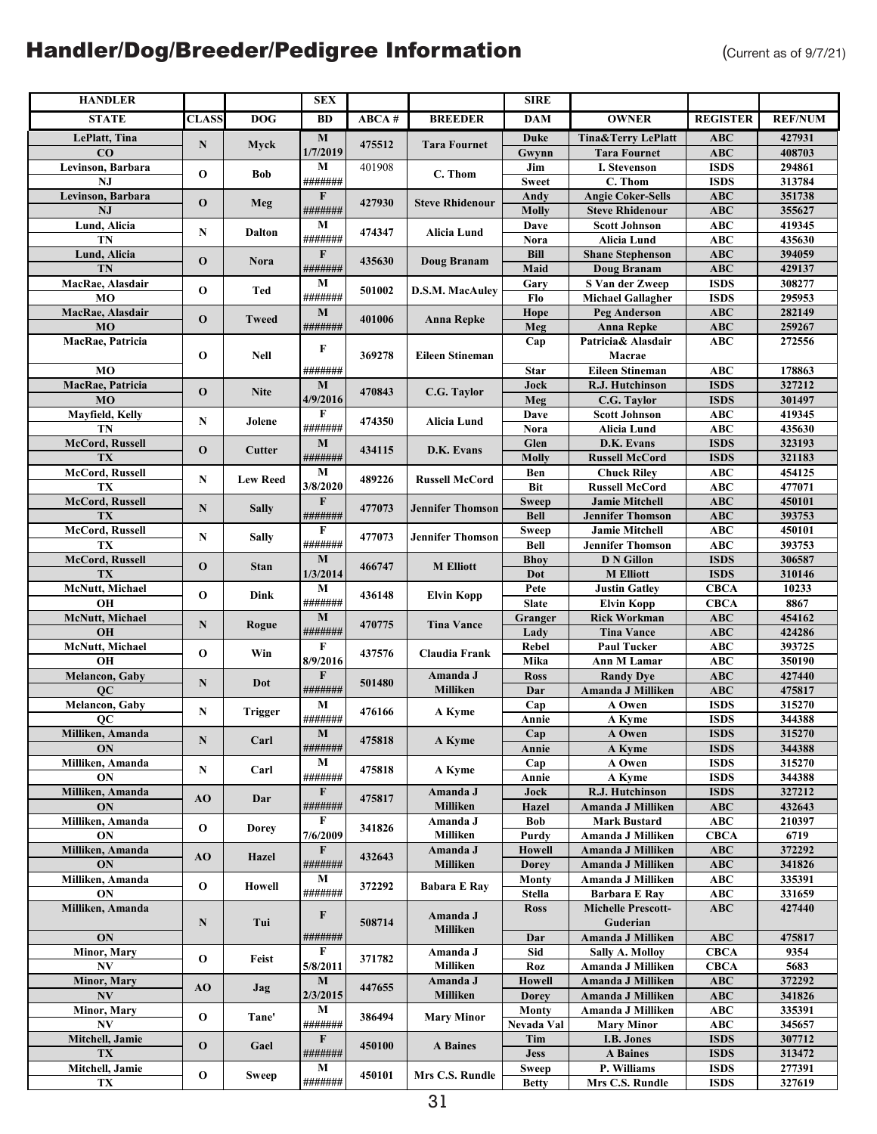| <b>HANDLER</b>              |              |                 | <b>SEX</b>             |        |                         | <b>SIRE</b>                 |                                                  |                           |                  |
|-----------------------------|--------------|-----------------|------------------------|--------|-------------------------|-----------------------------|--------------------------------------------------|---------------------------|------------------|
| <b>STATE</b>                | <b>CLASS</b> | <b>DOG</b>      | BD                     | ABCA#  | <b>BREEDER</b>          | <b>DAM</b>                  | <b>OWNER</b>                                     | <b>REGISTER</b>           | <b>REF/NUM</b>   |
| LePlatt, Tina               |              |                 | M                      |        |                         | Duke                        | <b>Tina&amp;Terry LePlatt</b>                    | <b>ABC</b>                | 427931           |
| $\bf CO$                    | N            | Myck            | 1/7/2019               | 475512 | <b>Tara Fournet</b>     | Gwynn                       | <b>Tara Fournet</b>                              | <b>ABC</b>                | 408703           |
| Levinson, Barbara           | $\mathbf 0$  | Bob             | M                      | 401908 | C. Thom                 | Jim                         | <b>I. Stevenson</b>                              | <b>ISDS</b>               | 294861           |
| $N_{\rm J}$                 |              |                 | #######                |        |                         | <b>Sweet</b>                | C. Thom                                          | <b>ISDS</b>               | 313784           |
| Levinson, Barbara           | $\mathbf{O}$ | Meg             | F                      | 427930 | <b>Steve Rhidenour</b>  | Andy                        | <b>Angie Coker-Sells</b>                         | <b>ABC</b>                | 351738           |
| NJ                          |              |                 | #######                |        |                         | Molly                       | <b>Steve Rhidenour</b>                           | <b>ABC</b>                | 355627           |
| Lund, Alicia                | ${\bf N}$    | <b>Dalton</b>   | $\mathbf M$            | 474347 | Alicia Lund             | Dave                        | <b>Scott Johnson</b>                             | <b>ABC</b>                | 419345           |
| TN                          |              |                 | #######                |        |                         | Nora                        | <b>Alicia Lund</b>                               | <b>ABC</b>                | 435630           |
| Lund, Alicia                | $\mathbf{O}$ | Nora            | F                      | 435630 | Doug Branam             | Bill                        | <b>Shane Stephenson</b>                          | <b>ABC</b>                | 394059           |
| TN                          |              |                 | #######<br>M           |        |                         | Maid                        | Doug Branam<br>S Van der Zweep                   | <b>ABC</b><br><b>ISDS</b> | 429137<br>308277 |
| MacRae, Alasdair<br>MO      | $\mathbf 0$  | Ted             | #######                | 501002 | <b>D.S.M. MacAuley</b>  | Gary<br>Flo                 | <b>Michael Gallagher</b>                         | <b>ISDS</b>               | 295953           |
| MacRae, Alasdair            |              |                 | $\mathbf M$            |        |                         | Hope                        | <b>Peg Anderson</b>                              | ABC                       | 282149           |
| MO                          | $\mathbf{O}$ | <b>Tweed</b>    | #######                | 401006 | <b>Anna Repke</b>       | Meg                         | <b>Anna Repke</b>                                | <b>ABC</b>                | 259267           |
| MacRae, Patricia            |              |                 |                        |        |                         | Cap                         | Patricia& Alasdair                               | ABC                       | 272556           |
|                             | $\mathbf 0$  | <b>Nell</b>     | F                      | 369278 | <b>Eileen Stineman</b>  |                             | Macrae                                           |                           |                  |
| MO                          |              |                 | #######                |        |                         | <b>Star</b>                 | <b>Eileen Stineman</b>                           | <b>ABC</b>                | 178863           |
| MacRae, Patricia            |              |                 | $\bf{M}$               |        |                         | Jock                        | R.J. Hutchinson                                  | <b>ISDS</b>               | 327212           |
| <b>MO</b>                   | $\mathbf{O}$ | <b>Nite</b>     | 4/9/2016               | 470843 | C.G. Taylor             | Meg                         | C.G. Taylor                                      | <b>ISDS</b>               | 301497           |
| Mayfield, Kelly             | ${\bf N}$    | Jolene          | F                      | 474350 | <b>Alicia Lund</b>      | Dave                        | <b>Scott Johnson</b>                             | <b>ABC</b>                | 419345           |
| TN                          |              |                 | #######                |        |                         | Nora                        | <b>Alicia Lund</b>                               | <b>ABC</b>                | 435630           |
| McCord, Russell             | $\mathbf{O}$ | Cutter          | $\mathbf M$            | 434115 | D.K. Evans              | Glen                        | D.K. Evans                                       | <b>ISDS</b>               | 323193           |
| TX                          |              |                 | #######                |        |                         | Molly                       | <b>Russell McCord</b>                            | <b>ISDS</b>               | 321183           |
| McCord, Russell             | N            | <b>Lew Reed</b> | M                      | 489226 | <b>Russell McCord</b>   | Ben                         | <b>Chuck Riley</b>                               | <b>ABC</b>                | 454125           |
| TX                          |              |                 | 3/8/2020               |        |                         | <b>Bit</b>                  | <b>Russell McCord</b>                            | <b>ABC</b>                | 477071           |
| McCord, Russell<br>TX       | N            | <b>Sally</b>    | $\mathbf F$<br>####### | 477073 | <b>Jennifer Thomson</b> | <b>Sweep</b><br><b>Bell</b> | <b>Jamie Mitchell</b><br><b>Jennifer Thomson</b> | <b>ABC</b><br><b>ABC</b>  | 450101<br>393753 |
| McCord, Russell             |              |                 | F                      |        |                         | Sweep                       | <b>Jamie Mitchell</b>                            | <b>ABC</b>                | 450101           |
| TX                          | N            | <b>Sally</b>    | #######                | 477073 | <b>Jennifer Thomson</b> | <b>Bell</b>                 | <b>Jennifer Thomson</b>                          | <b>ABC</b>                | 393753           |
| McCord, Russell             |              |                 | M                      |        |                         | <b>Bhoy</b>                 | <b>D N Gillon</b>                                | <b>ISDS</b>               | 306587           |
| TX                          | $\mathbf{O}$ | <b>Stan</b>     | 1/3/2014               | 466747 | <b>M</b> Elliott        | Dot                         | <b>M</b> Elliott                                 | <b>ISDS</b>               | 310146           |
| McNutt, Michael             |              |                 | $\mathbf M$            |        |                         | Pete                        | <b>Justin Gatley</b>                             | <b>CBCA</b>               | 10233            |
| OH                          | $\mathbf 0$  | Dink            | #######                | 436148 | Elvin Kopp              | <b>Slate</b>                | <b>Elvin Kopp</b>                                | <b>CBCA</b>               | 8867             |
| McNutt, Michael             | ${\bf N}$    | Rogue           | $\mathbf M$            | 470775 | <b>Tina Vance</b>       | Granger                     | <b>Rick Workman</b>                              | <b>ABC</b>                | 454162           |
| <b>OH</b>                   |              |                 | #######                |        |                         | Lady                        | <b>Tina Vance</b>                                | <b>ABC</b>                | 424286           |
| McNutt, Michael             | $\mathbf 0$  | Win             | F                      | 437576 | Claudia Frank           | <b>Rebel</b>                | <b>Paul Tucker</b>                               | <b>ABC</b>                | 393725           |
| OH                          |              |                 | 8/9/2016               |        |                         | Mika                        | Ann M Lamar                                      | <b>ABC</b>                | 350190           |
| Melancon, Gaby              | ${\bf N}$    | Dot             | F                      | 501480 | Amanda J                | <b>Ross</b>                 | <b>Randy Dve</b>                                 | <b>ABC</b>                | 427440           |
| <b>OC</b><br>Melancon, Gaby |              |                 | #######<br>$\mathbf M$ |        | <b>Milliken</b>         | Dar                         | Amanda J Milliken<br>A Owen                      | <b>ABC</b><br><b>ISDS</b> | 475817<br>315270 |
| QC                          | N            | Trigger         | #######                | 476166 | A Kyme                  | Cap<br>Annie                | A Kyme                                           | <b>ISDS</b>               | 344388           |
| Milliken, Amanda            |              |                 | M                      |        |                         | Cap                         | A Owen                                           | ISDS                      | 315270           |
| ON                          | ${\bf N}$    | Carl            | #######                | 475818 | A Kyme                  | Annie                       | A Kyme                                           | <b>ISDS</b>               | 344388           |
| Milliken, Amanda            |              |                 | М                      |        |                         | Cap                         | A Owen                                           | <b>ISDS</b>               | 315270           |
| <b>ON</b>                   | N            | Carl            | #######                | 475818 | A Kyme                  | Annie                       | A Kyme                                           | <b>ISDS</b>               | 344388           |
| Milliken, Amanda            | AO           | Dar             | F                      | 475817 | Amanda J                | Jock                        | R.J. Hutchinson                                  | <b>ISDS</b>               | 327212           |
| ON                          |              |                 | #######                |        | Milliken                | Hazel                       | Amanda J Milliken                                | ABC                       | 432643           |
| Milliken, Amanda            | $\mathbf 0$  | <b>Dorey</b>    | F                      | 341826 | Amanda J                | <b>Bob</b>                  | <b>Mark Bustard</b>                              | ABC                       | 210397           |
| <b>ON</b>                   |              |                 | 7/6/2009               |        | Milliken                | Purdy                       | Amanda J Milliken                                | CBCA                      | 6719             |
| Milliken, Amanda            | AO           | Hazel           | $\mathbf{F}$           | 432643 | Amanda J                | <b>Howell</b>               | Amanda J Milliken                                | ABC                       | 372292           |
| ON                          |              |                 | #######<br>М           |        | Milliken                | <b>Dorey</b>                | Amanda J Milliken                                | <b>ABC</b>                | 341826           |
| Milliken, Amanda<br>ON      | $\mathbf 0$  | Howell          | #######                | 372292 | <b>Babara E Ray</b>     | Monty                       | Amanda J Milliken                                | <b>ABC</b>                | 335391<br>331659 |
| Milliken, Amanda            |              |                 |                        |        |                         | Stella<br><b>Ross</b>       | Barbara E Ray<br><b>Michelle Prescott-</b>       | ABC<br>ABC                | 427440           |
|                             | N            | Tui             | F                      | 508714 | Amanda J                |                             | Guderian                                         |                           |                  |
| ON                          |              |                 | #######                |        | <b>Milliken</b>         | Dar                         | Amanda J Milliken                                | ABC                       | 475817           |
| Minor, Mary                 |              |                 | F                      |        | Amanda J                | Sid                         | <b>Sally A. Molloy</b>                           | <b>CBCA</b>               | 9354             |
| NV                          | $\mathbf 0$  | Feist           | 5/8/2011               | 371782 | Milliken                | Roz                         | Amanda J Milliken                                | <b>CBCA</b>               | 5683             |
| Minor, Mary                 | AO           |                 | М                      | 447655 | Amanda J                | <b>Howell</b>               | Amanda J Milliken                                | ABC                       | 372292           |
| <b>NV</b>                   |              | Jag             | 2/3/2015               |        | Milliken                | <b>Dorey</b>                | Amanda J Milliken                                | <b>ABC</b>                | 341826           |
| <b>Minor, Mary</b>          | $\mathbf 0$  | Tane'           | М                      | 386494 | <b>Mary Minor</b>       | Monty                       | Amanda J Milliken                                | <b>ABC</b>                | 335391           |
| N V                         |              |                 | #######                |        |                         | Nevada Val                  | <b>Mary Minor</b>                                | ABC                       | 345657           |
| Mitchell, Jamie             | $\mathbf 0$  | Gael            | $\mathbf{F}$           | 450100 | <b>A</b> Baines         | Tim                         | I.B. Jones                                       | <b>ISDS</b>               | 307712           |
| TX                          |              |                 | #######                |        |                         | <b>Jess</b>                 | <b>A</b> Baines                                  | <b>ISDS</b>               | 313472           |
| Mitchell, Jamie             | $\mathbf 0$  | Sweep           | М<br>#######           | 450101 | Mrs C.S. Rundle         | <b>Sweep</b>                | P. Williams                                      | <b>ISDS</b>               | 277391           |
| TX                          |              |                 |                        |        |                         | <b>Betty</b>                | Mrs C.S. Rundle                                  | <b>ISDS</b>               | 327619           |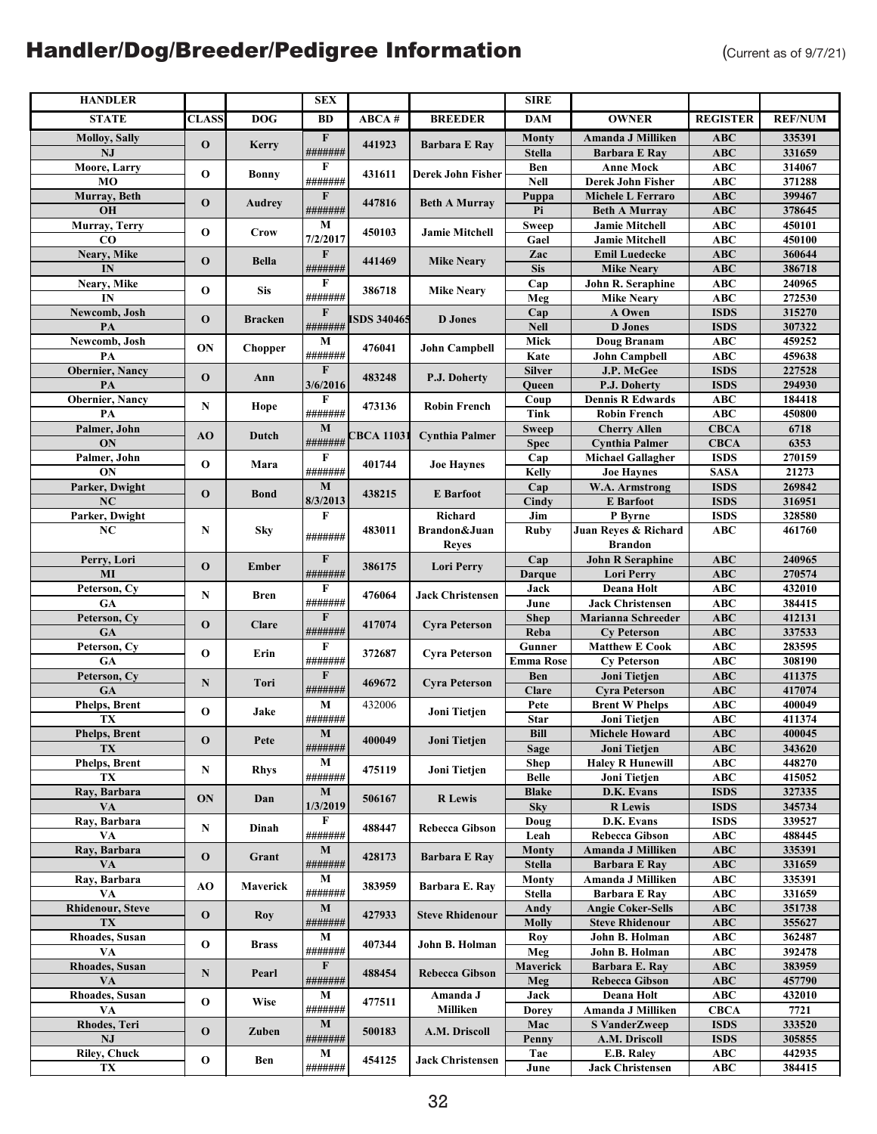| <b>HANDLER</b>          |              |                | <b>SEX</b>              |                    |                         | <b>SIRE</b>         |                                                   |                            |                  |
|-------------------------|--------------|----------------|-------------------------|--------------------|-------------------------|---------------------|---------------------------------------------------|----------------------------|------------------|
| <b>STATE</b>            | <b>CLASS</b> | <b>DOG</b>     | BD                      | ABCA#              | <b>BREEDER</b>          | <b>DAM</b>          | <b>OWNER</b>                                      | <b>REGISTER</b>            | <b>REF/NUM</b>   |
| <b>Molloy, Sally</b>    |              |                | $\mathbf F$             |                    |                         | <b>Monty</b>        | Amanda J Milliken                                 | <b>ABC</b>                 | 335391           |
| <b>NJ</b>               | $\mathbf{o}$ | Kerry          | #######                 | 441923             | <b>Barbara E Ray</b>    | <b>Stella</b>       | <b>Barbara E Ray</b>                              | <b>ABC</b>                 | 331659           |
| Moore, Larry            | $\mathbf{o}$ |                | F                       | 431611             | Derek John Fisher       | Ben                 | <b>Anne Mock</b>                                  | <b>ABC</b>                 | 314067           |
| M <sub>O</sub>          |              | <b>Bonny</b>   | #######                 |                    |                         | <b>Nell</b>         | <b>Derek John Fisher</b>                          | <b>ABC</b>                 | 371288           |
| Murray, Beth            | $\mathbf{o}$ | <b>Audrey</b>  | $\mathbf F$             | 447816             | <b>Beth A Murray</b>    | Puppa               | Michele L Ferraro                                 | <b>ABC</b>                 | 399467           |
| OH                      |              |                | #######                 |                    |                         | Pi                  | <b>Beth A Murray</b>                              | <b>ABC</b>                 | 378645           |
| Murray, Terry           | $\mathbf 0$  | <b>Crow</b>    | $\mathbf{M}$            | 450103             | <b>Jamie Mitchell</b>   | Sweep               | <b>Jamie Mitchell</b>                             | <b>ABC</b>                 | 450101           |
| $_{\rm CO}$             |              |                | 7/2/2017                |                    |                         | Gael                | <b>Jamie Mitchell</b>                             | ABC                        | 450100           |
| Neary, Mike<br>IN       | $\mathbf 0$  | <b>Bella</b>   | $\mathbf{F}$<br>####### | 441469             | <b>Mike Neary</b>       | Zac<br><b>Sis</b>   | <b>Emil Luedecke</b>                              | ABC<br><b>ABC</b>          | 360644<br>386718 |
| Neary, Mike             |              |                | $\bf F$                 |                    |                         | Cap                 | <b>Mike Neary</b><br>John R. Seraphine            | <b>ABC</b>                 | 240965           |
| IN                      | O            | <b>Sis</b>     | #######                 | 386718             | <b>Mike Neary</b>       | Meg                 | <b>Mike Neary</b>                                 | <b>ABC</b>                 | 272530           |
| Newcomb, Josh           |              |                | $\mathbf{F}$            |                    |                         | Cap                 | A Owen                                            | <b>ISDS</b>                | 315270           |
| PA                      | $\mathbf{o}$ | <b>Bracken</b> | #######                 | <b>ISDS 340465</b> | <b>D</b> Jones          | <b>Nell</b>         | <b>D</b> Jones                                    | <b>ISDS</b>                | 307322           |
| Newcomb, Josh           |              |                | M                       |                    |                         | Mick                | <b>Doug Branam</b>                                | <b>ABC</b>                 | 459252           |
| PA                      | ON           | <b>Chopper</b> | #######                 | 476041             | <b>John Campbell</b>    | Kate                | <b>John Campbell</b>                              | <b>ABC</b>                 | 459638           |
| Obernier, Nancy         | $\mathbf 0$  | Ann            | $\mathbf{F}$            | 483248             | P.J. Doherty            | Silver              | J.P. McGee                                        | <b>ISDS</b>                | 227528           |
| PA                      |              |                | 3/6/2016                |                    |                         | Queen               | P.J. Doherty                                      | <b>ISDS</b>                | 294930           |
| Obernier, Nancy         | N            | Hope           | F                       | 473136             | <b>Robin French</b>     | Coup                | <b>Dennis R Edwards</b>                           | <b>ABC</b>                 | 184418           |
| PA                      |              |                | #######                 |                    |                         | <b>Tink</b>         | <b>Robin French</b>                               | <b>ABC</b>                 | 450800           |
| Palmer, John            | AO           | Dutch          | M<br>#######            | EBCA 11031         | <b>Cynthia Palmer</b>   | <b>Sweep</b>        | <b>Cherry Allen</b>                               | <b>CBCA</b>                | 6718<br>6353     |
| ON<br>Palmer, John      |              |                | F                       |                    |                         | <b>Spec</b><br>Cap  | <b>Cynthia Palmer</b><br><b>Michael Gallagher</b> | <b>CBCA</b><br><b>ISDS</b> | 270159           |
| ON                      | $\mathbf{o}$ | Mara           | #######                 | 401744             | <b>Joe Haynes</b>       | Kelly               | <b>Joe Haynes</b>                                 | <b>SASA</b>                | 21273            |
| Parker, Dwight          |              |                | $\mathbf M$             |                    |                         | Cap                 | W.A. Armstrong                                    | <b>ISDS</b>                | 269842           |
| NC                      | $\mathbf 0$  | <b>Bond</b>    | 8/3/2013                | 438215             | <b>E</b> Barfoot        | Cindy               | <b>E</b> Barfoot                                  | <b>ISDS</b>                | 316951           |
| Parker, Dwight          |              |                | $\mathbf F$             |                    | Richard                 | Jim                 | P Byrne                                           | <b>ISDS</b>                | 328580           |
| NC                      | N            | Sky            | #######                 | 483011             | Brandon&Juan            | <b>Ruby</b>         | Juan Reyes & Richard                              | <b>ABC</b>                 | 461760           |
|                         |              |                |                         |                    | <b>Reyes</b>            |                     | <b>Brandon</b>                                    |                            |                  |
| Perry, Lori             | $\mathbf{o}$ | <b>Ember</b>   | $\mathbf F$             | 386175             | <b>Lori Perry</b>       | Cap                 | <b>John R Seraphine</b>                           | <b>ABC</b>                 | 240965           |
| MI                      |              |                | #######                 |                    |                         | <b>Darque</b>       | <b>Lori Perry</b>                                 | ABC                        | 270574           |
| Peterson, Cy            | $\mathbf N$  | Bren           | F                       | 476064             | <b>Jack Christensen</b> | Jack                | <b>Deana Holt</b>                                 | <b>ABC</b>                 | 432010           |
| GA                      |              |                | #######<br>$\mathbf F$  |                    |                         | June                | <b>Jack Christensen</b>                           | <b>ABC</b>                 | 384415           |
| Peterson, Cy<br>GA      | $\mathbf 0$  | Clare          | #######                 | 417074             | <b>Cyra Peterson</b>    | <b>Shep</b><br>Reba | Marianna Schreeder<br><b>Cy Peterson</b>          | <b>ABC</b><br>ABC          | 412131<br>337533 |
| Peterson, Cy            |              |                | F                       |                    |                         | Gunner              | <b>Matthew E Cook</b>                             | $AB\overline{C}$           | 283595           |
| <b>GA</b>               | $\mathbf{o}$ | Erin           | #######                 | 372687             | <b>Cyra Peterson</b>    | <b>Emma Rose</b>    | <b>Cy Peterson</b>                                | <b>ABC</b>                 | 308190           |
| Peterson, Cy            |              |                | $\mathbf F$             |                    |                         | Ben                 | Joni Tietjen                                      | ABC                        | 411375           |
| GA                      | N            | Tori           | #######                 | 469672             | <b>Cyra Peterson</b>    | <b>Clare</b>        | <b>Cyra Peterson</b>                              | <b>ABC</b>                 | 417074           |
| Phelps, Brent           | $\mathbf 0$  | Jake           | $\mathbf M$             | 432006             | Joni Tietjen            | Pete                | <b>Brent W Phelps</b>                             | <b>ABC</b>                 | 400049           |
| TX                      |              |                | #######                 |                    |                         | <b>Star</b>         | Joni Tietjen                                      | ABC                        | 411374           |
| Phelps, Brent           | $\mathbf 0$  | Pete           | $\overline{\mathbf{M}}$ | 400049             | Joni Tietjen            | Bill                | <b>Michele Howard</b>                             | ABC                        | 400045           |
| TX                      |              |                | #######                 |                    |                         | <b>Sage</b>         | Joni Tietjen                                      | ABC                        | 343620           |
| Phelps, Brent           | N            | <b>Rhys</b>    | M                       | 475119             | Joni Tietjen            | <b>Shep</b>         | <b>Halev R Hunewill</b>                           | <b>ABC</b>                 | 448270           |
| TX                      |              |                | #######                 |                    |                         | <b>Belle</b>        | Joni Tietjen<br>D.K. Evans                        | ABC<br><b>ISDS</b>         | 415052<br>327335 |
| Ray, Barbara<br>VA      | ON           | Dan            | M<br>1/3/2019           | 506167             | <b>R</b> Lewis          | <b>Blake</b><br>Sky | <b>R</b> Lewis                                    | <b>ISDS</b>                | 345734           |
| Ray, Barbara            |              |                | F                       |                    |                         | Doug                | D.K. Evans                                        | <b>ISDS</b>                | 339527           |
| VA                      | N            | Dinah          | #######                 | 488447             | Rebecca Gibson          | Leah                | <b>Rebecca Gibson</b>                             | <b>ABC</b>                 | 488445           |
| Ray, Barbara            |              |                | M                       |                    |                         | <b>Monty</b>        | Amanda J Milliken                                 | ABC                        | 335391           |
| VA                      | $\mathbf 0$  | Grant          | #######                 | 428173             | <b>Barbara E Ray</b>    | <b>Stella</b>       | <b>Barbara E Ray</b>                              | <b>ABC</b>                 | 331659           |
| Ray, Barbara            | AO           | Maverick       | M                       | 383959             | Barbara E. Ray          | Monty               | Amanda J Milliken                                 | <b>ABC</b>                 | 335391           |
| VA                      |              |                | #######                 |                    |                         | Stella              | <b>Barbara E Ray</b>                              | ABC                        | 331659           |
| <b>Rhidenour, Steve</b> | $\mathbf 0$  | Roy            | M                       | 427933             | <b>Steve Rhidenour</b>  | Andy                | <b>Angie Coker-Sells</b>                          | ABC                        | 351738           |
| <b>TX</b>               |              |                | #######                 |                    |                         | <b>Molly</b>        | <b>Steve Rhidenour</b>                            | ABC                        | 355627           |
| Rhoades, Susan          | $\mathbf 0$  | <b>Brass</b>   | M<br>#######            | 407344             | John B. Holman          | Roy                 | John B. Holman<br>John B. Holman                  | ABC                        | 362487<br>392478 |
| VA<br>Rhoades, Susan    |              |                | $\mathbf F$             |                    |                         | Meg<br>Maverick     | Barbara E. Ray                                    | ABC<br>ABC                 | 383959           |
| VA                      | N            | Pearl          | #######                 | 488454             | <b>Rebecca Gibson</b>   | Meg                 | <b>Rebecca Gibson</b>                             | <b>ABC</b>                 | 457790           |
| Rhoades, Susan          |              |                | M                       |                    | Amanda J                | Jack                | Deana Holt                                        | ABC                        | 432010           |
| VA                      | $\mathbf{o}$ | Wise           | #######                 | 477511             | Milliken                | Dorey               | Amanda J Milliken                                 | <b>CBCA</b>                | 7721             |
| Rhodes, Teri            |              |                | M                       |                    |                         | Mac                 | <b>S VanderZweep</b>                              | <b>ISDS</b>                | 333520           |
| NJ                      | $\mathbf 0$  | Zuben          | #######                 | 500183             | A.M. Driscoll           | Penny               | A.M. Driscoll                                     | <b>ISDS</b>                | 305855           |
| <b>Riley, Chuck</b>     | $\mathbf O$  | Ben            | М                       | 454125             | <b>Jack Christensen</b> | Tae                 | E.B. Raley                                        | <b>ABC</b>                 | 442935           |
| TX                      |              |                | #######                 |                    |                         | June                | <b>Jack Christensen</b>                           | <b>ABC</b>                 | 384415           |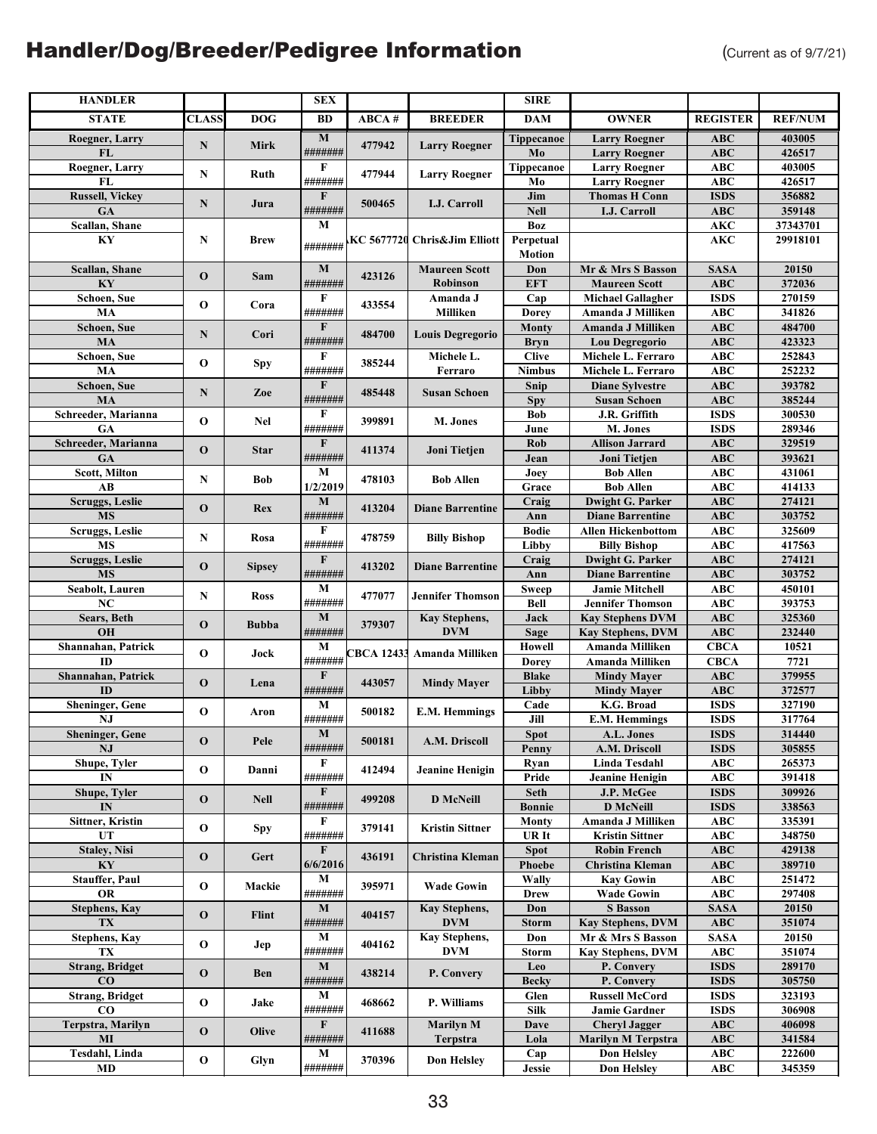| <b>HANDLER</b>                |              |               | <b>SEX</b>             |        |                                         | <b>SIRE</b>                   |                                                      |                            |                  |
|-------------------------------|--------------|---------------|------------------------|--------|-----------------------------------------|-------------------------------|------------------------------------------------------|----------------------------|------------------|
| <b>STATE</b>                  | <b>CLASS</b> | <b>DOG</b>    | BD                     | ABCA # | <b>BREEDER</b>                          | DAM                           | <b>OWNER</b>                                         | <b>REGISTER</b>            | <b>REF/NUM</b>   |
| Roegner, Larry                |              |               | $\bf{M}$               |        |                                         | Tippecanoe                    | <b>Larry Roegner</b>                                 | <b>ABC</b>                 | 403005           |
| FL                            | N            | <b>Mirk</b>   | #######                | 477942 | <b>Larry Roegner</b>                    | Mo                            | <b>Larry Roegner</b>                                 | <b>ABC</b>                 | 426517           |
| Roegner, Larry                | N            | Ruth          | F                      | 477944 | <b>Larry Roegner</b>                    | Tippecanoe                    | <b>Larry Roegner</b>                                 | <b>ABC</b>                 | 403005           |
| <b>FL</b>                     |              |               | #######                |        |                                         | Mo                            | <b>Larry Roegner</b>                                 | <b>ABC</b>                 | 426517           |
| <b>Russell, Vickey</b>        | ${\bf N}$    | Jura          | F                      | 500465 | I.J. Carroll                            | Jim                           | <b>Thomas H Conn</b>                                 | <b>ISDS</b>                | 356882           |
| GA                            |              |               | #######                |        |                                         | <b>Nell</b>                   | <b>I.J. Carroll</b>                                  | <b>ABC</b>                 | 359148           |
| Scallan, Shane                |              |               | M                      |        |                                         | <b>Boz</b>                    |                                                      | <b>AKC</b>                 | 37343701         |
| KY                            | N            | <b>Brew</b>   | #######                |        | KC 5677720 Chris&Jim Elliott            | Perpetual                     |                                                      | <b>AKC</b>                 | 29918101         |
|                               |              |               |                        |        |                                         | <b>Motion</b>                 |                                                      |                            |                  |
| Scallan, Shane<br>KY          | $\mathbf 0$  | Sam           | $\bf M$<br>#######     | 423126 | <b>Maureen Scott</b><br><b>Robinson</b> | Don                           | Mr & Mrs S Basson                                    | <b>SASA</b>                | 20150            |
| Schoen, Sue                   |              |               | F                      |        | Amanda J                                | <b>EFT</b><br>Cap             | <b>Maureen Scott</b><br><b>Michael Gallagher</b>     | <b>ABC</b><br><b>ISDS</b>  | 372036<br>270159 |
| MA                            | $\mathbf 0$  | Cora          | #######                | 433554 | Milliken                                | <b>Dorey</b>                  | Amanda J Milliken                                    | <b>ABC</b>                 | 341826           |
| Schoen, Sue                   |              |               | F                      |        |                                         | Monty                         | Amanda J Milliken                                    | <b>ABC</b>                 | 484700           |
| MA                            | N            | Cori          | #######                | 484700 | <b>Louis Degregorio</b>                 | <b>Bryn</b>                   | Lou Degregorio                                       | <b>ABC</b>                 | 423323           |
| Schoen, Sue                   |              |               | F                      |        | Michele L.                              | <b>Clive</b>                  | Michele L. Ferraro                                   | <b>ABC</b>                 | 252843           |
| MA                            | O            | Spy           | #######                | 385244 | Ferraro                                 | $\overline{\mathbf{N}}$ imbus | Michele L. Ferraro                                   | <b>ABC</b>                 | 252232           |
| Schoen, Sue                   | ${\bf N}$    |               | $\mathbf F$            | 485448 |                                         | Snip                          | <b>Diane Sylvestre</b>                               | <b>ABC</b>                 | 393782           |
| MA                            |              | Zoe           | #######                |        | <b>Susan Schoen</b>                     | <b>Spy</b>                    | <b>Susan Schoen</b>                                  | <b>ABC</b>                 | 385244           |
| Schreeder, Marianna           | $\bf{0}$     | Nel           | F                      | 399891 | M. Jones                                | <b>Bob</b>                    | J.R. Griffith                                        | <b>ISDS</b>                | 300530           |
| GA                            |              |               | #######                |        |                                         | June                          | M. Jones                                             | <b>ISDS</b>                | 289346           |
| Schreeder, Marianna           | $\mathbf{o}$ | <b>Star</b>   | F                      | 411374 | Joni Tietjen                            | Rob                           | <b>Allison Jarrard</b>                               | <b>ABC</b>                 | 329519           |
| GA                            |              |               | #######                |        |                                         | Jean                          | Joni Tietjen                                         | <b>ABC</b>                 | 393621           |
| Scott, Milton                 | N            | <b>Bob</b>    | М                      | 478103 | <b>Bob Allen</b>                        | Joey                          | <b>Bob Allen</b>                                     | <b>ABC</b>                 | 431061           |
| $\mathbf{A}\mathbf{B}$        |              |               | 1/2/2019               |        |                                         | Grace                         | <b>Bob Allen</b>                                     | <b>ABC</b>                 | 414133           |
| Scruggs, Leslie<br><b>MS</b>  | $\mathbf{o}$ | Rex           | M<br>#######           | 413204 | <b>Diane Barrentine</b>                 | Craig                         | <b>Dwight G. Parker</b>                              | <b>ABC</b>                 | 274121           |
| <b>Scruggs</b> , Leslie       |              |               | F                      |        |                                         | Ann<br><b>Bodie</b>           | <b>Diane Barrentine</b><br><b>Allen Hickenbottom</b> | <b>ABC</b><br><b>ABC</b>   | 303752<br>325609 |
| MS                            | N            | Rosa          | #######                | 478759 | <b>Billy Bishop</b>                     | Libby                         | <b>Billy Bishop</b>                                  | <b>ABC</b>                 | 417563           |
| <b>Scruggs, Leslie</b>        |              |               | $\mathbf{F}$           |        |                                         | Craig                         | Dwight G. Parker                                     | <b>ABC</b>                 | 274121           |
| <b>MS</b>                     | $\mathbf{o}$ | <b>Sipsey</b> | #######                | 413202 | <b>Diane Barrentine</b>                 | Ann                           | <b>Diane Barrentine</b>                              | <b>ABC</b>                 | 303752           |
| Seabolt, Lauren               |              |               | М                      |        |                                         | <b>Sweep</b>                  | <b>Jamie Mitchell</b>                                | <b>ABC</b>                 | 450101           |
| NC                            | N            | <b>Ross</b>   | #######                | 477077 | <b>Jennifer Thomson</b>                 | <b>Bell</b>                   | <b>Jennifer Thomson</b>                              | <b>ABC</b>                 | 393753           |
| Sears, Beth                   |              |               | $\mathbf M$            | 379307 | Kay Stephens,                           | Jack                          | <b>Kay Stephens DVM</b>                              | <b>ABC</b>                 | 325360           |
| <b>OH</b>                     | $\mathbf 0$  | <b>Bubba</b>  | #######                |        | <b>DVM</b>                              | <b>Sage</b>                   | Kay Stephens, DVM                                    | <b>ABC</b>                 | 232440           |
| Shannahan, Patrick            | $\mathbf 0$  | Jock          | M                      |        | <b>BCA 12433 Amanda Milliken</b>        | <b>Howell</b>                 | Amanda Milliken                                      | <b>CBCA</b>                | 10521            |
| <b>ID</b>                     |              |               | #######                |        |                                         | <b>Dorey</b>                  | Amanda Milliken                                      | <b>CBCA</b>                | 7721             |
| Shannahan, Patrick            | $\mathbf 0$  | Lena          | F                      | 443057 | <b>Mindy Mayer</b>                      | <b>Blake</b>                  | <b>Mindy Mayer</b>                                   | ABC                        | 379955           |
| ID                            |              |               | #######                |        |                                         | Libby                         | <b>Mindy Mayer</b>                                   | <b>ABC</b>                 | 372577           |
| Sheninger, Gene               | $\mathbf 0$  | Aron          | M                      | 500182 | <b>E.M. Hemmings</b>                    | Cade                          | K.G. Broad                                           | <b>ISDS</b>                | 327190           |
| NJ<br><b>Sheninger</b> , Gene |              |               | #######<br>$\mathbf M$ |        |                                         | Jill<br><b>Spot</b>           | <b>E.M. Hemmings</b><br>A.L. Jones                   | <b>ISDS</b><br><b>ISDS</b> | 317764<br>314440 |
| NJ                            | $\mathbf 0$  | Pele          | #######                | 500181 | A.M. Driscoll                           |                               |                                                      |                            |                  |
| Shupe, Tyler                  |              |               | F                      |        |                                         | Penny<br>Ryan                 | A.M. Driscoll<br>Linda Tesdahl                       | <b>ISDS</b><br>ABC         | 305855<br>265373 |
| IN                            | $\mathbf 0$  | Danni         | #######                | 412494 | Jeanine Henigin                         | Pride                         | <b>Jeanine Henigin</b>                               | <b>ABC</b>                 | 391418           |
| Shupe, Tyler                  |              |               | $\mathbf{F}$           |        |                                         | Seth                          | J.P. McGee                                           | <b>ISDS</b>                | 309926           |
| IN                            | $\mathbf 0$  | <b>Nell</b>   | #######                | 499208 | <b>D</b> McNeill                        | <b>Bonnie</b>                 | <b>D</b> McNeill                                     | <b>ISDS</b>                | 338563           |
| <b>Sittner, Kristin</b>       |              |               | F                      |        |                                         | Monty                         | Amanda J Milliken                                    | ABC                        | 335391           |
| UT                            | $\mathbf{o}$ | <b>Spy</b>    | #######                | 379141 | <b>Kristin Sittner</b>                  | UR It                         | <b>Kristin Sittner</b>                               | <b>ABC</b>                 | 348750           |
| <b>Staley, Nisi</b>           | $\mathbf 0$  | Gert          | $\mathbf{F}$           | 436191 | Christina Kleman                        | <b>Spot</b>                   | <b>Robin French</b>                                  | <b>ABC</b>                 | 429138           |
| KY                            |              |               | 6/6/2016               |        |                                         | Phoebe                        | <b>Christina Kleman</b>                              | ABC                        | 389710           |
| <b>Stauffer, Paul</b>         | $\mathbf 0$  | Mackie        | М                      | 395971 | <b>Wade Gowin</b>                       | Wally                         | <b>Kay Gowin</b>                                     | <b>ABC</b>                 | 251472           |
| <b>OR</b>                     |              |               | #######                |        |                                         | <b>Drew</b>                   | <b>Wade Gowin</b>                                    | <b>ABC</b>                 | 297408           |
| <b>Stephens, Kay</b>          | $\mathbf 0$  | Flint         | $\mathbf{M}$           | 404157 | Kay Stephens,                           | Don                           | <b>S</b> Basson                                      | <b>SASA</b>                | 20150            |
| TX                            |              |               | #######                |        | <b>DVM</b>                              | <b>Storm</b>                  | <b>Kay Stephens, DVM</b>                             | ABC                        | 351074           |
| <b>Stephens, Kay</b><br>TX    | $\mathbf 0$  | Jep           | М<br>#######           | 404162 | Kay Stephens,<br><b>DVM</b>             | Don<br>Storm                  | Mr & Mrs S Basson<br><b>Kay Stephens, DVM</b>        | <b>SASA</b><br>ABC         | 20150<br>351074  |
| <b>Strang, Bridget</b>        |              |               | M                      |        |                                         | Leo                           | P. Convery                                           | <b>ISDS</b>                | 289170           |
| CO                            | $\mathbf 0$  | Ben           | #######                | 438214 | P. Convery                              | <b>Becky</b>                  | P. Convery                                           | <b>ISDS</b>                | 305750           |
| <b>Strang, Bridget</b>        |              |               | М                      |        |                                         | Glen                          | <b>Russell McCord</b>                                | <b>ISDS</b>                | 323193           |
| $\bf CO$                      | $\mathbf 0$  | Jake          | #######                | 468662 | P. Williams                             | <b>Silk</b>                   | Jamie Gardner                                        | <b>ISDS</b>                | 306908           |
| Terpstra, Marilyn             |              |               | F                      |        | <b>Marilyn M</b>                        | Dave                          | <b>Cheryl Jagger</b>                                 | <b>ABC</b>                 | 406098           |
| MI                            | $\mathbf 0$  | Olive         | #######                | 411688 | Terpstra                                | Lola                          | <b>Marilyn M Terpstra</b>                            | ABC                        | 341584           |
| Tesdahl, Linda                | $\mathbf 0$  | Glyn          | М                      | 370396 | <b>Don Helsley</b>                      | Cap                           | <b>Don Helsley</b>                                   | <b>ABC</b>                 | 222600           |
| MD                            |              |               | #######                |        |                                         | Jessie                        | <b>Don Helsley</b>                                   | ABC                        | 345359           |